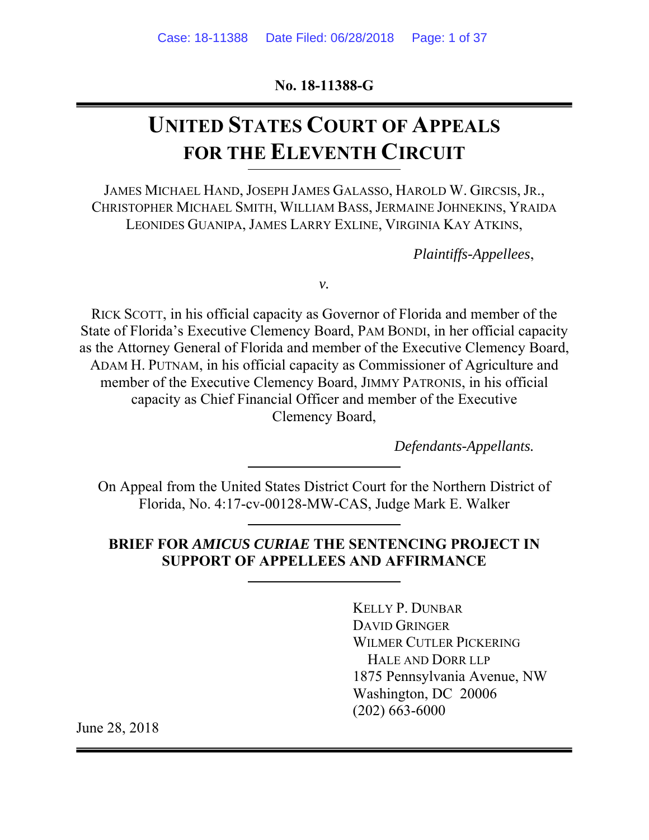**No. 18-11388-G** 

# **UNITED STATES COURT OF APPEALS FOR THE ELEVENTH CIRCUIT**

JAMES MICHAEL HAND, JOSEPH JAMES GALASSO, HAROLD W. GIRCSIS, JR., CHRISTOPHER MICHAEL SMITH, WILLIAM BASS, JERMAINE JOHNEKINS, YRAIDA LEONIDES GUANIPA, JAMES LARRY EXLINE, VIRGINIA KAY ATKINS,

*Plaintiffs-Appellees*,

*v.* 

RICK SCOTT, in his official capacity as Governor of Florida and member of the State of Florida's Executive Clemency Board, PAM BONDI, in her official capacity as the Attorney General of Florida and member of the Executive Clemency Board, ADAM H. PUTNAM, in his official capacity as Commissioner of Agriculture and member of the Executive Clemency Board, JIMMY PATRONIS, in his official capacity as Chief Financial Officer and member of the Executive Clemency Board,

*Defendants-Appellants.* 

On Appeal from the United States District Court for the Northern District of Florida, No. 4:17-cv-00128-MW-CAS, Judge Mark E. Walker

### **BRIEF FOR** *AMICUS CURIAE* **THE SENTENCING PROJECT IN SUPPORT OF APPELLEES AND AFFIRMANCE**

KELLY P. DUNBAR DAVID GRINGER WILMER CUTLER PICKERING HALE AND DORR LLP 1875 Pennsylvania Avenue, NW Washington, DC 20006 (202) 663-6000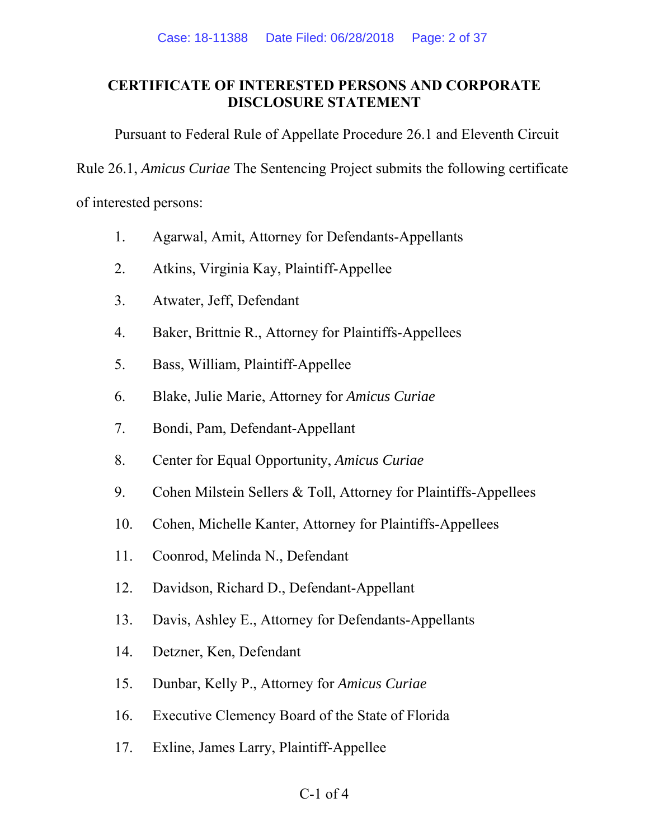### **CERTIFICATE OF INTERESTED PERSONS AND CORPORATE DISCLOSURE STATEMENT**

Pursuant to Federal Rule of Appellate Procedure 26.1 and Eleventh Circuit

Rule 26.1, *Amicus Curiae* The Sentencing Project submits the following certificate

of interested persons:

- 1. Agarwal, Amit, Attorney for Defendants-Appellants
- 2. Atkins, Virginia Kay, Plaintiff-Appellee
- 3. Atwater, Jeff, Defendant
- 4. Baker, Brittnie R., Attorney for Plaintiffs-Appellees
- 5. Bass, William, Plaintiff-Appellee
- 6. Blake, Julie Marie, Attorney for *Amicus Curiae*
- 7. Bondi, Pam, Defendant-Appellant
- 8. Center for Equal Opportunity, *Amicus Curiae*
- 9. Cohen Milstein Sellers & Toll, Attorney for Plaintiffs-Appellees
- 10. Cohen, Michelle Kanter, Attorney for Plaintiffs-Appellees
- 11. Coonrod, Melinda N., Defendant
- 12. Davidson, Richard D., Defendant-Appellant
- 13. Davis, Ashley E., Attorney for Defendants-Appellants
- 14. Detzner, Ken, Defendant
- 15. Dunbar, Kelly P., Attorney for *Amicus Curiae*
- 16. Executive Clemency Board of the State of Florida
- 17. Exline, James Larry, Plaintiff-Appellee

### $C-1$  of 4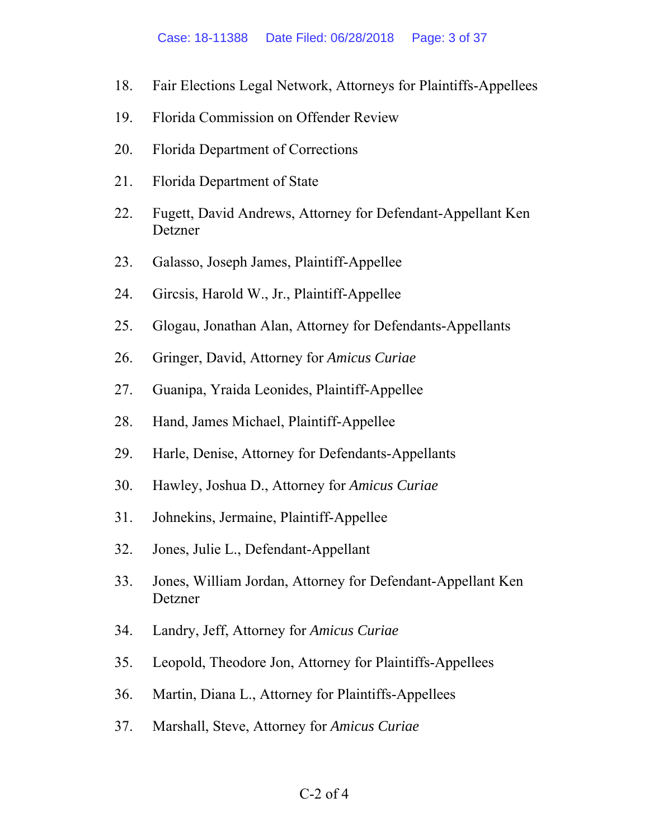- 18. Fair Elections Legal Network, Attorneys for Plaintiffs-Appellees
- 19. Florida Commission on Offender Review
- 20. Florida Department of Corrections
- 21. Florida Department of State
- 22. Fugett, David Andrews, Attorney for Defendant-Appellant Ken Detzner
- 23. Galasso, Joseph James, Plaintiff-Appellee
- 24. Gircsis, Harold W., Jr., Plaintiff-Appellee
- 25. Glogau, Jonathan Alan, Attorney for Defendants-Appellants
- 26. Gringer, David, Attorney for *Amicus Curiae*
- 27. Guanipa, Yraida Leonides, Plaintiff-Appellee
- 28. Hand, James Michael, Plaintiff-Appellee
- 29. Harle, Denise, Attorney for Defendants-Appellants
- 30. Hawley, Joshua D., Attorney for *Amicus Curiae*
- 31. Johnekins, Jermaine, Plaintiff-Appellee
- 32. Jones, Julie L., Defendant-Appellant
- 33. Jones, William Jordan, Attorney for Defendant-Appellant Ken Detzner
- 34. Landry, Jeff, Attorney for *Amicus Curiae*
- 35. Leopold, Theodore Jon, Attorney for Plaintiffs-Appellees
- 36. Martin, Diana L., Attorney for Plaintiffs-Appellees
- 37. Marshall, Steve, Attorney for *Amicus Curiae*

#### C-2 of 4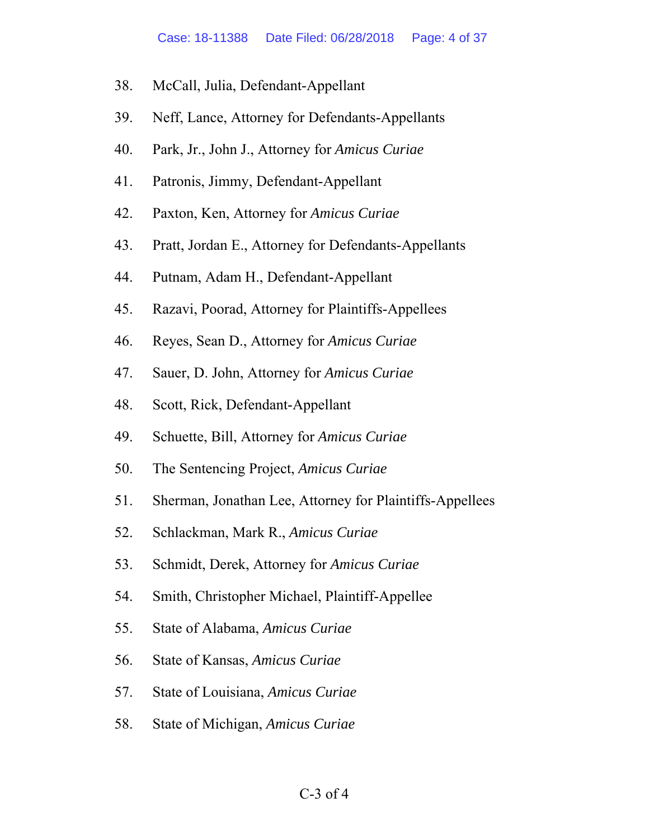- 38. McCall, Julia, Defendant-Appellant
- 39. Neff, Lance, Attorney for Defendants-Appellants
- 40. Park, Jr., John J., Attorney for *Amicus Curiae*
- 41. Patronis, Jimmy, Defendant-Appellant
- 42. Paxton, Ken, Attorney for *Amicus Curiae*
- 43. Pratt, Jordan E., Attorney for Defendants-Appellants
- 44. Putnam, Adam H., Defendant-Appellant
- 45. Razavi, Poorad, Attorney for Plaintiffs-Appellees
- 46. Reyes, Sean D., Attorney for *Amicus Curiae*
- 47. Sauer, D. John, Attorney for *Amicus Curiae*
- 48. Scott, Rick, Defendant-Appellant
- 49. Schuette, Bill, Attorney for *Amicus Curiae*
- 50. The Sentencing Project, *Amicus Curiae*
- 51. Sherman, Jonathan Lee, Attorney for Plaintiffs-Appellees
- 52. Schlackman, Mark R., *Amicus Curiae*
- 53. Schmidt, Derek, Attorney for *Amicus Curiae*
- 54. Smith, Christopher Michael, Plaintiff-Appellee
- 55. State of Alabama, *Amicus Curiae*
- 56. State of Kansas, *Amicus Curiae*
- 57. State of Louisiana, *Amicus Curiae*
- 58. State of Michigan, *Amicus Curiae*

#### $C-3$  of 4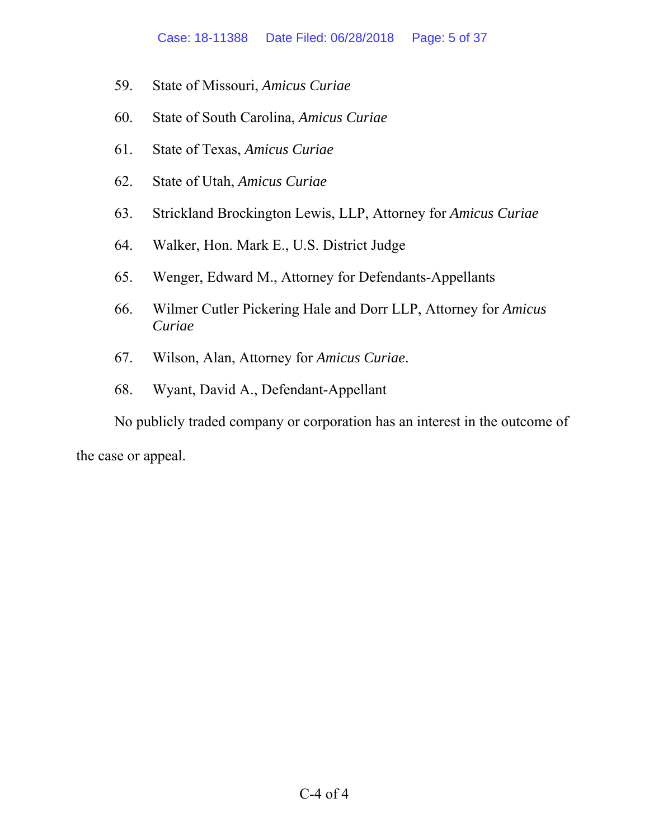- 59. State of Missouri, *Amicus Curiae*
- 60. State of South Carolina, *Amicus Curiae*
- 61. State of Texas, *Amicus Curiae*
- 62. State of Utah, *Amicus Curiae*
- 63. Strickland Brockington Lewis, LLP, Attorney for *Amicus Curiae*
- 64. Walker, Hon. Mark E., U.S. District Judge
- 65. Wenger, Edward M., Attorney for Defendants-Appellants
- 66. Wilmer Cutler Pickering Hale and Dorr LLP, Attorney for *Amicus Curiae*
- 67. Wilson, Alan, Attorney for *Amicus Curiae*.
- 68. Wyant, David A., Defendant-Appellant

No publicly traded company or corporation has an interest in the outcome of

the case or appeal.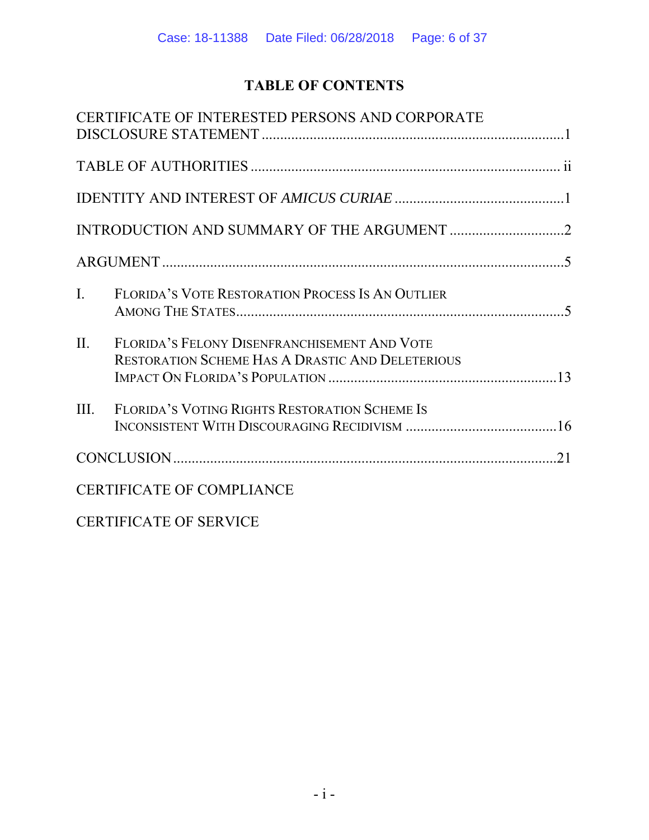# **TABLE OF CONTENTS**

|                | CERTIFICATE OF INTERESTED PERSONS AND CORPORATE                                                  |  |
|----------------|--------------------------------------------------------------------------------------------------|--|
|                |                                                                                                  |  |
|                |                                                                                                  |  |
|                |                                                                                                  |  |
|                |                                                                                                  |  |
| $\mathbf{I}$ . | FLORIDA'S VOTE RESTORATION PROCESS IS AN OUTLIER                                                 |  |
| II.            | FLORIDA'S FELONY DISENFRANCHISEMENT AND VOTE<br>RESTORATION SCHEME HAS A DRASTIC AND DELETERIOUS |  |
| III.           | FLORIDA'S VOTING RIGHTS RESTORATION SCHEME IS                                                    |  |
|                |                                                                                                  |  |
|                | <b>CERTIFICATE OF COMPLIANCE</b>                                                                 |  |
|                | <b>CERTIFICATE OF SERVICE</b>                                                                    |  |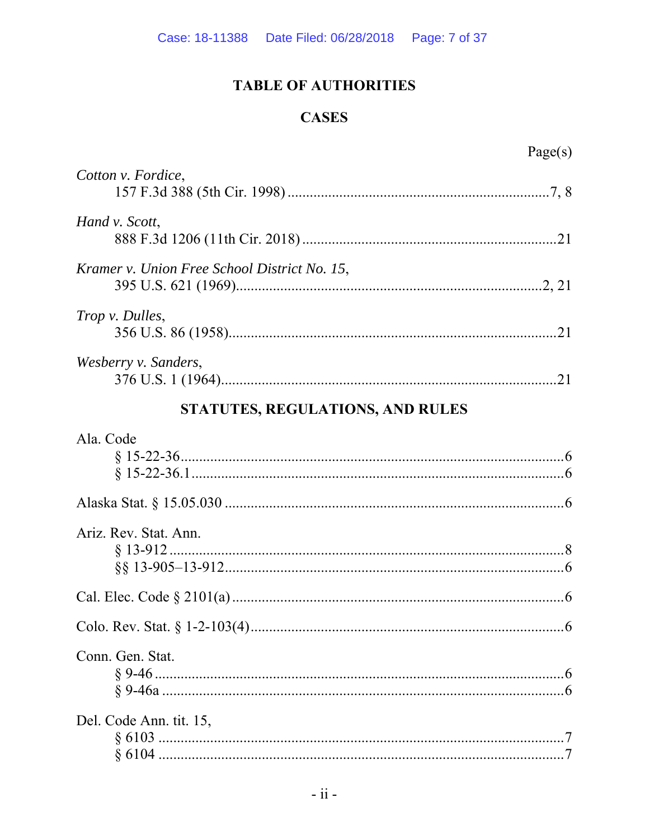# **TABLE OF AUTHORITIES**

## **CASES**

| Cotton v. Fordice,                           |
|----------------------------------------------|
| Hand v. Scott,                               |
| Kramer v. Union Free School District No. 15, |
| Trop v. Dulles,                              |
| Wesberry v. Sanders,                         |
| STATUTES, REGULATIONS, AND RULES             |
| Ala. Code                                    |
|                                              |
| Ariz. Rev. Stat. Ann.                        |
|                                              |
|                                              |
| Conn. Gen. Stat.                             |
| Del. Code Ann. tit. 15,                      |

| $\mathbf{C}_1$ . $\mathbf{C}_2$ . The $\mathbf{C}_3$ . |  |
|--------------------------------------------------------|--|
|                                                        |  |
|                                                        |  |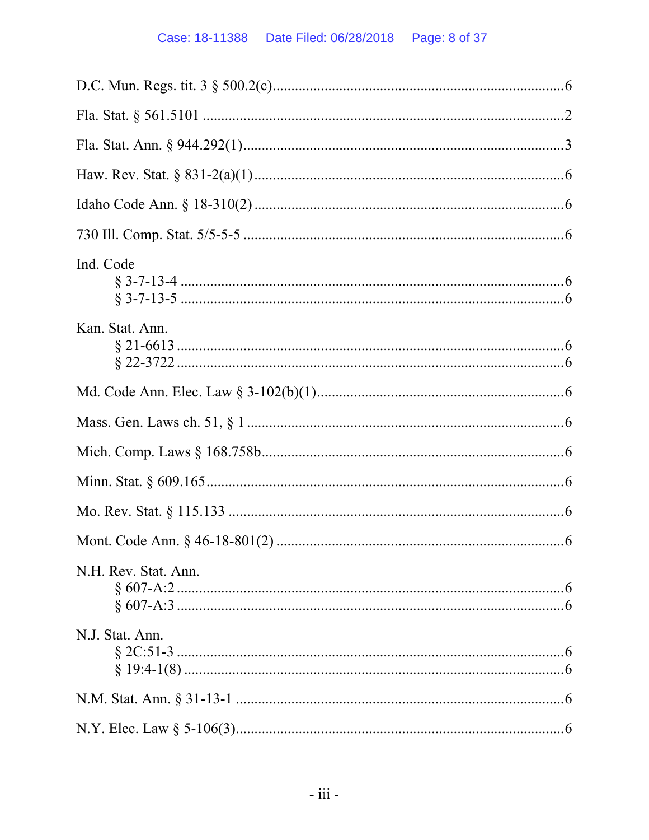| Ind. Code            |
|----------------------|
| Kan. Stat. Ann.      |
|                      |
|                      |
|                      |
|                      |
|                      |
|                      |
| N.H. Rev. Stat. Ann. |
| N.J. Stat. Ann.      |
|                      |
|                      |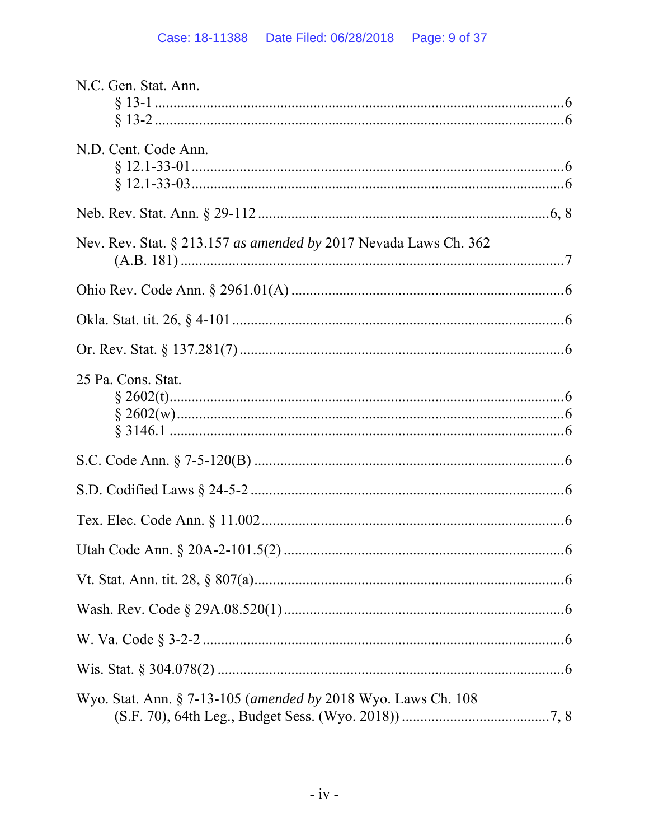| N.C. Gen. Stat. Ann.                                             |
|------------------------------------------------------------------|
|                                                                  |
|                                                                  |
| N.D. Cent. Code Ann.                                             |
|                                                                  |
|                                                                  |
|                                                                  |
| Nev. Rev. Stat. § 213.157 as amended by 2017 Nevada Laws Ch. 362 |
|                                                                  |
|                                                                  |
|                                                                  |
|                                                                  |
|                                                                  |
| 25 Pa. Cons. Stat.                                               |
|                                                                  |
|                                                                  |
|                                                                  |
|                                                                  |
|                                                                  |
|                                                                  |
|                                                                  |
|                                                                  |
|                                                                  |
|                                                                  |
|                                                                  |
| Wyo. Stat. Ann. § 7-13-105 (amended by 2018 Wyo. Laws Ch. 108    |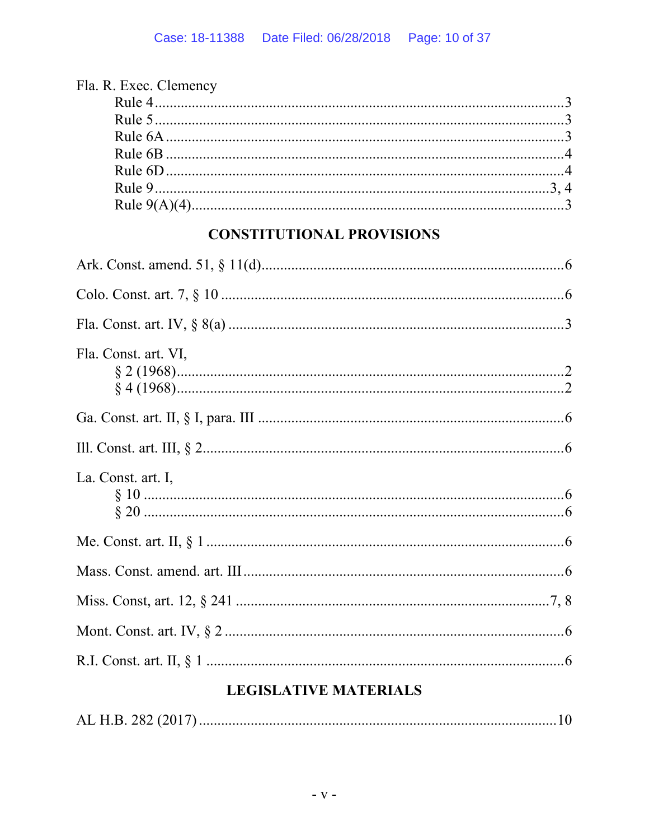| Fla. R. Exec. Clemency |  |
|------------------------|--|
|                        |  |
|                        |  |
|                        |  |
|                        |  |
|                        |  |
|                        |  |
|                        |  |
|                        |  |

# **CONSTITUTIONAL PROVISIONS**

| Fla. Const. art. VI, |
|----------------------|
|                      |
|                      |
| La. Const. art. I,   |
|                      |
|                      |
|                      |
|                      |
|                      |

# **LEGISLATIVE MATERIALS**

|--|--|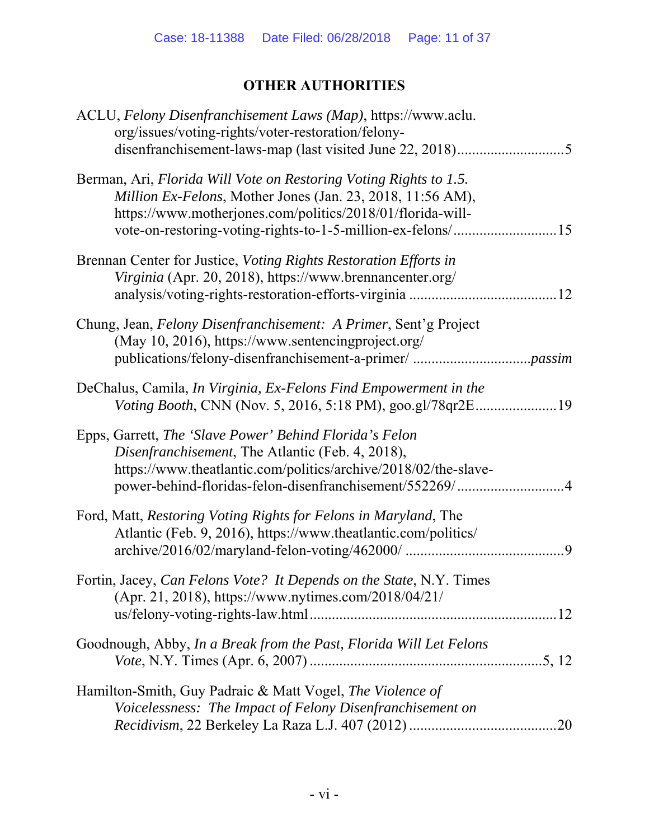# **OTHER AUTHORITIES**

| ACLU, Felony Disenfranchisement Laws (Map), https://www.aclu.<br>org/issues/voting-rights/voter-restoration/felony-                                                                                                                       |
|-------------------------------------------------------------------------------------------------------------------------------------------------------------------------------------------------------------------------------------------|
| Berman, Ari, Florida Will Vote on Restoring Voting Rights to 1.5.<br>Million Ex-Felons, Mother Jones (Jan. 23, 2018, 11:56 AM),<br>https://www.motherjones.com/politics/2018/01/florida-will-                                             |
| Brennan Center for Justice, Voting Rights Restoration Efforts in<br>Virginia (Apr. 20, 2018), https://www.brennancenter.org/                                                                                                              |
| Chung, Jean, Felony Disenfranchisement: A Primer, Sent'g Project<br>(May 10, 2016), https://www.sentencingproject.org/                                                                                                                    |
| DeChalus, Camila, <i>In Virginia</i> , <i>Ex-Felons Find Empowerment in the</i><br>Voting Booth, CNN (Nov. 5, 2016, 5:18 PM), goo.gl/78qr2E19                                                                                             |
| Epps, Garrett, The 'Slave Power' Behind Florida's Felon<br>Disenfranchisement, The Atlantic (Feb. 4, 2018),<br>https://www.theatlantic.com/politics/archive/2018/02/the-slave-<br>power-behind-floridas-felon-disenfranchisement/552269/4 |
| Ford, Matt, Restoring Voting Rights for Felons in Maryland, The<br>Atlantic (Feb. 9, 2016), https://www.theatlantic.com/politics/<br>9                                                                                                    |
| Fortin, Jacey, Can Felons Vote? It Depends on the State, N.Y. Times<br>(Apr. 21, 2018), https://www.nytimes.com/2018/04/21/                                                                                                               |
| Goodnough, Abby, In a Break from the Past, Florida Will Let Felons                                                                                                                                                                        |
| Hamilton-Smith, Guy Padraic & Matt Vogel, The Violence of<br>Voicelessness: The Impact of Felony Disenfranchisement on                                                                                                                    |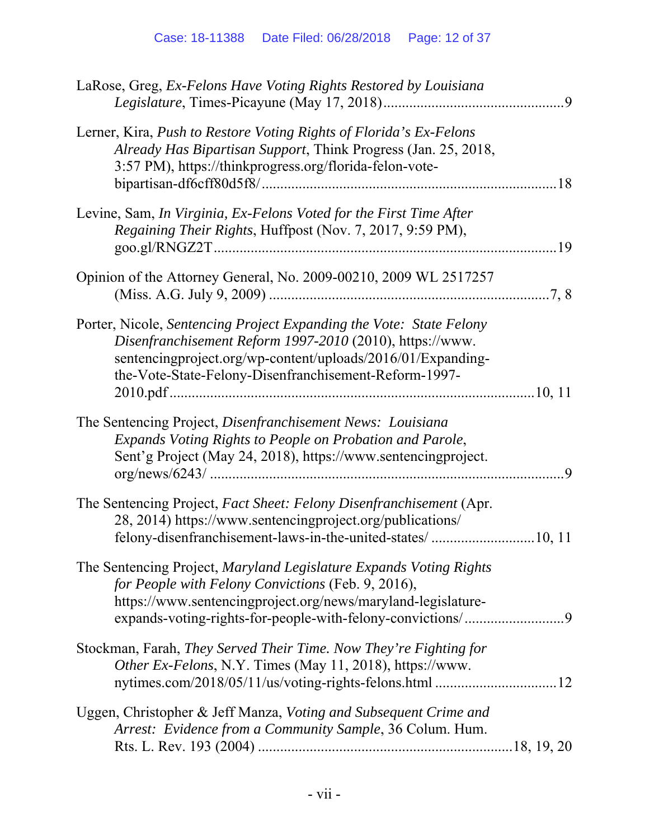| LaRose, Greg, Ex-Felons Have Voting Rights Restored by Louisiana                                                                                                                                                                                        |  |
|---------------------------------------------------------------------------------------------------------------------------------------------------------------------------------------------------------------------------------------------------------|--|
| Lerner, Kira, Push to Restore Voting Rights of Florida's Ex-Felons<br>Already Has Bipartisan Support, Think Progress (Jan. 25, 2018,<br>3:57 PM), https://thinkprogress.org/florida-felon-vote-                                                         |  |
| Levine, Sam, In Virginia, Ex-Felons Voted for the First Time After<br>Regaining Their Rights, Huffpost (Nov. 7, 2017, 9:59 PM),                                                                                                                         |  |
| Opinion of the Attorney General, No. 2009-00210, 2009 WL 2517257                                                                                                                                                                                        |  |
| Porter, Nicole, Sentencing Project Expanding the Vote: State Felony<br>Disenfranchisement Reform 1997-2010 (2010), https://www.<br>sentencingproject.org/wp-content/uploads/2016/01/Expanding-<br>the-Vote-State-Felony-Disenfranchisement-Reform-1997- |  |
| The Sentencing Project, Disenfranchisement News: Louisiana<br>Expands Voting Rights to People on Probation and Parole,<br>Sent'g Project (May 24, 2018), https://www.sentencingproject.                                                                 |  |
| The Sentencing Project, Fact Sheet: Felony Disenfranchisement (Apr.<br>28, 2014) https://www.sentencingproject.org/publications/                                                                                                                        |  |
| The Sentencing Project, Maryland Legislature Expands Voting Rights<br>for People with Felony Convictions (Feb. 9, 2016),<br>https://www.sentencingproject.org/news/maryland-legislature-                                                                |  |
| Stockman, Farah, They Served Their Time. Now They're Fighting for<br>Other Ex-Felons, N.Y. Times (May 11, 2018), https://www.                                                                                                                           |  |
| Uggen, Christopher & Jeff Manza, Voting and Subsequent Crime and<br>Arrest: Evidence from a Community Sample, 36 Colum. Hum.                                                                                                                            |  |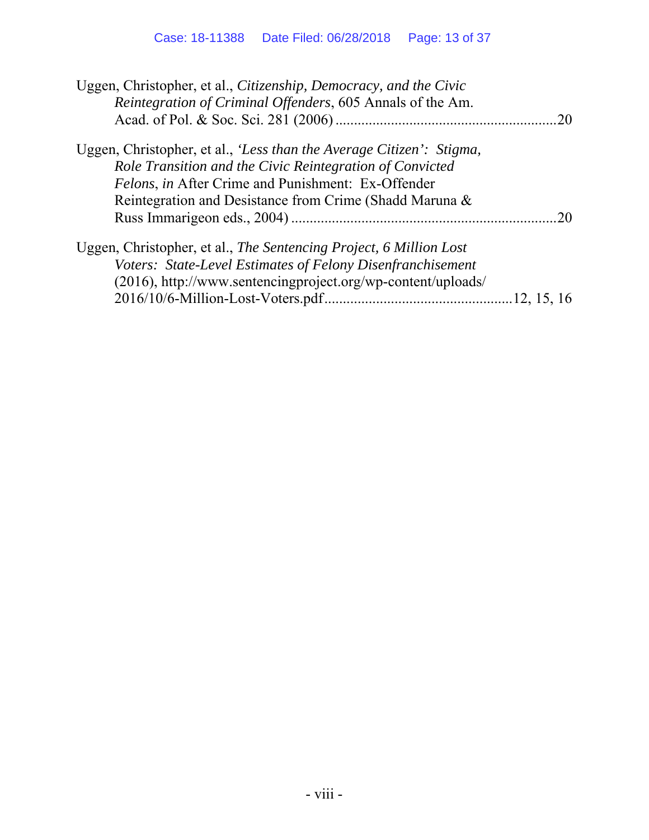| .20 |
|-----|
|     |
|     |
|     |
|     |
| 20  |
|     |
|     |
|     |
|     |
|     |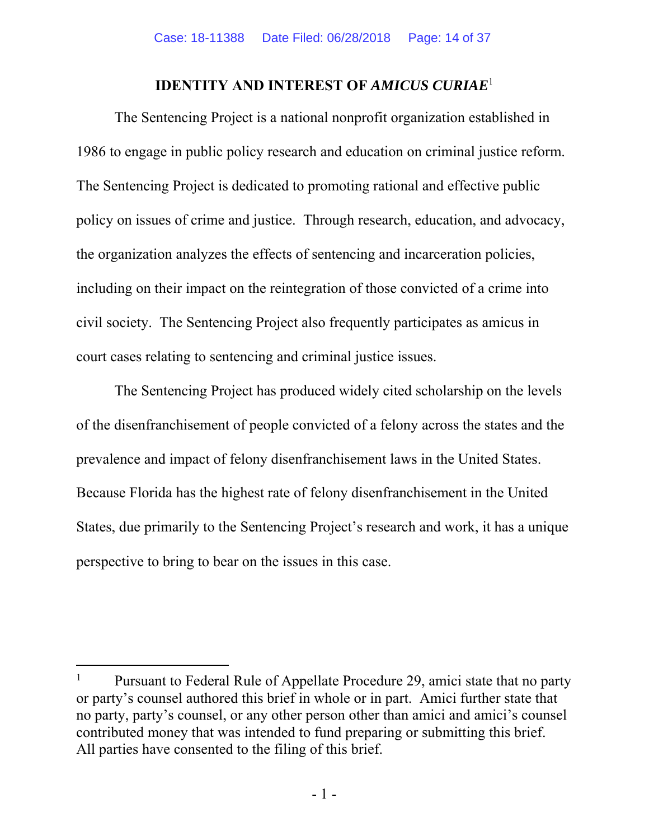#### **IDENTITY AND INTEREST OF** *AMICUS CURIAE*<sup>1</sup>

The Sentencing Project is a national nonprofit organization established in 1986 to engage in public policy research and education on criminal justice reform. The Sentencing Project is dedicated to promoting rational and effective public policy on issues of crime and justice. Through research, education, and advocacy, the organization analyzes the effects of sentencing and incarceration policies, including on their impact on the reintegration of those convicted of a crime into civil society. The Sentencing Project also frequently participates as amicus in court cases relating to sentencing and criminal justice issues.

The Sentencing Project has produced widely cited scholarship on the levels of the disenfranchisement of people convicted of a felony across the states and the prevalence and impact of felony disenfranchisement laws in the United States. Because Florida has the highest rate of felony disenfranchisement in the United States, due primarily to the Sentencing Project's research and work, it has a unique perspective to bring to bear on the issues in this case.

-

<sup>1</sup> Pursuant to Federal Rule of Appellate Procedure 29, amici state that no party or party's counsel authored this brief in whole or in part. Amici further state that no party, party's counsel, or any other person other than amici and amici's counsel contributed money that was intended to fund preparing or submitting this brief. All parties have consented to the filing of this brief.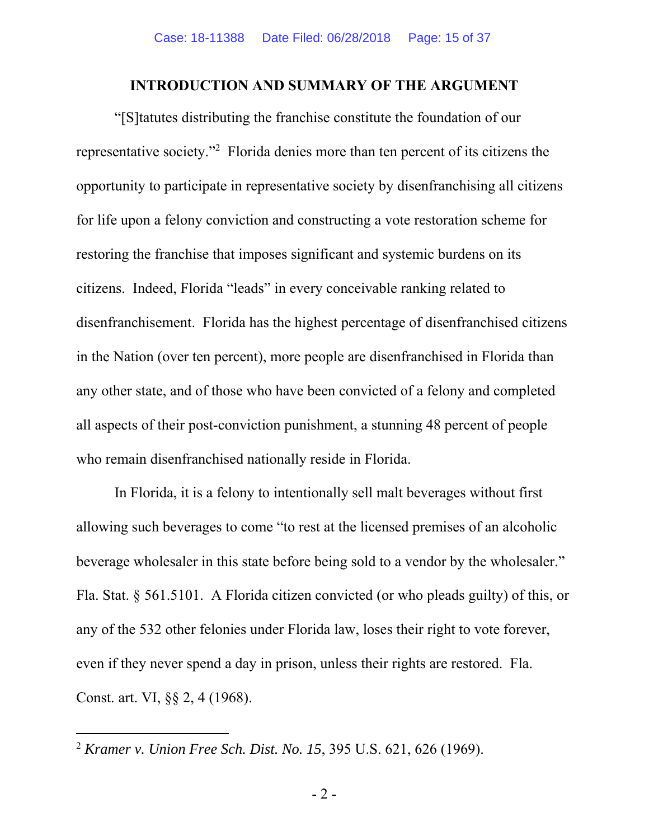#### **INTRODUCTION AND SUMMARY OF THE ARGUMENT**

"[S]tatutes distributing the franchise constitute the foundation of our representative society."2 Florida denies more than ten percent of its citizens the opportunity to participate in representative society by disenfranchising all citizens for life upon a felony conviction and constructing a vote restoration scheme for restoring the franchise that imposes significant and systemic burdens on its citizens. Indeed, Florida "leads" in every conceivable ranking related to disenfranchisement. Florida has the highest percentage of disenfranchised citizens in the Nation (over ten percent), more people are disenfranchised in Florida than any other state, and of those who have been convicted of a felony and completed all aspects of their post-conviction punishment, a stunning 48 percent of people who remain disenfranchised nationally reside in Florida.

In Florida, it is a felony to intentionally sell malt beverages without first allowing such beverages to come "to rest at the licensed premises of an alcoholic beverage wholesaler in this state before being sold to a vendor by the wholesaler." Fla. Stat. § 561.5101. A Florida citizen convicted (or who pleads guilty) of this, or any of the 532 other felonies under Florida law, loses their right to vote forever, even if they never spend a day in prison, unless their rights are restored. Fla. Const. art. VI, §§ 2, 4 (1968).

 $\overline{a}$ 

<sup>2</sup> *Kramer v. Union Free Sch. Dist. No. 15*, 395 U.S. 621, 626 (1969).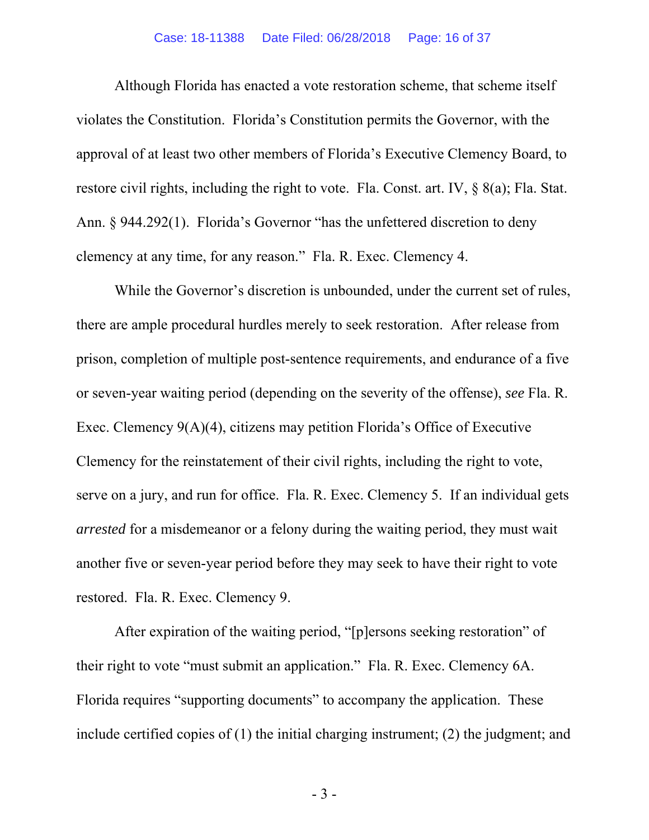#### Case: 18-11388 Date Filed: 06/28/2018 Page: 16 of 37

Although Florida has enacted a vote restoration scheme, that scheme itself violates the Constitution. Florida's Constitution permits the Governor, with the approval of at least two other members of Florida's Executive Clemency Board, to restore civil rights, including the right to vote. Fla. Const. art. IV, § 8(a); Fla. Stat. Ann. § 944.292(1). Florida's Governor "has the unfettered discretion to deny clemency at any time, for any reason." Fla. R. Exec. Clemency 4.

While the Governor's discretion is unbounded, under the current set of rules, there are ample procedural hurdles merely to seek restoration. After release from prison, completion of multiple post-sentence requirements, and endurance of a five or seven-year waiting period (depending on the severity of the offense), *see* Fla. R. Exec. Clemency 9(A)(4), citizens may petition Florida's Office of Executive Clemency for the reinstatement of their civil rights, including the right to vote, serve on a jury, and run for office. Fla. R. Exec. Clemency 5. If an individual gets *arrested* for a misdemeanor or a felony during the waiting period, they must wait another five or seven-year period before they may seek to have their right to vote restored. Fla. R. Exec. Clemency 9.

After expiration of the waiting period, "[p]ersons seeking restoration" of their right to vote "must submit an application." Fla. R. Exec. Clemency 6A. Florida requires "supporting documents" to accompany the application. These include certified copies of (1) the initial charging instrument; (2) the judgment; and

- 3 -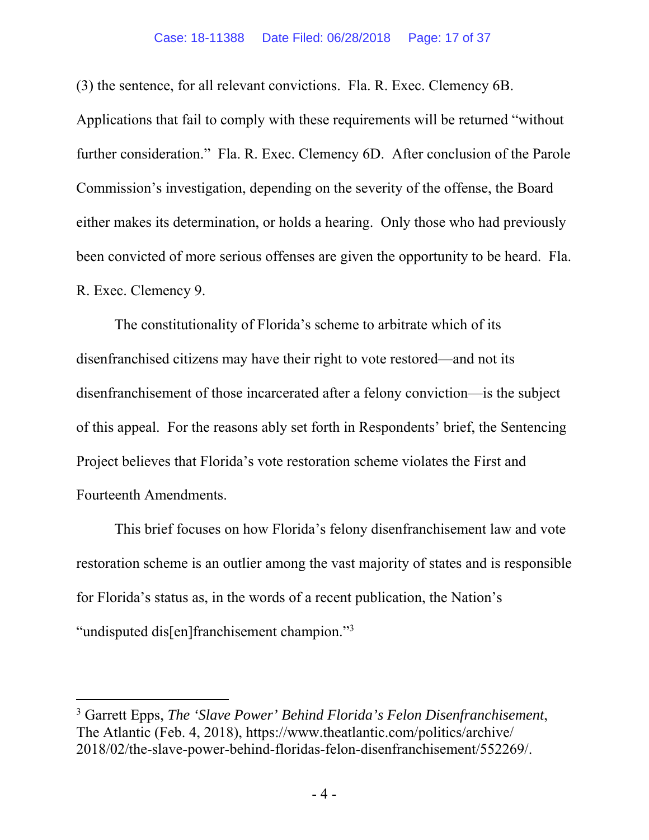#### Case: 18-11388 Date Filed: 06/28/2018 Page: 17 of 37

(3) the sentence, for all relevant convictions. Fla. R. Exec. Clemency 6B. Applications that fail to comply with these requirements will be returned "without further consideration." Fla. R. Exec. Clemency 6D. After conclusion of the Parole Commission's investigation, depending on the severity of the offense, the Board either makes its determination, or holds a hearing. Only those who had previously been convicted of more serious offenses are given the opportunity to be heard. Fla. R. Exec. Clemency 9.

The constitutionality of Florida's scheme to arbitrate which of its disenfranchised citizens may have their right to vote restored—and not its disenfranchisement of those incarcerated after a felony conviction—is the subject of this appeal. For the reasons ably set forth in Respondents' brief, the Sentencing Project believes that Florida's vote restoration scheme violates the First and Fourteenth Amendments.

This brief focuses on how Florida's felony disenfranchisement law and vote restoration scheme is an outlier among the vast majority of states and is responsible for Florida's status as, in the words of a recent publication, the Nation's "undisputed dis[en]franchisement champion."<sup>3</sup>

-

<sup>3</sup> Garrett Epps, *The 'Slave Power' Behind Florida's Felon Disenfranchisement*, The Atlantic (Feb. 4, 2018), https://www.theatlantic.com/politics/archive/ 2018/02/the-slave-power-behind-floridas-felon-disenfranchisement/552269/.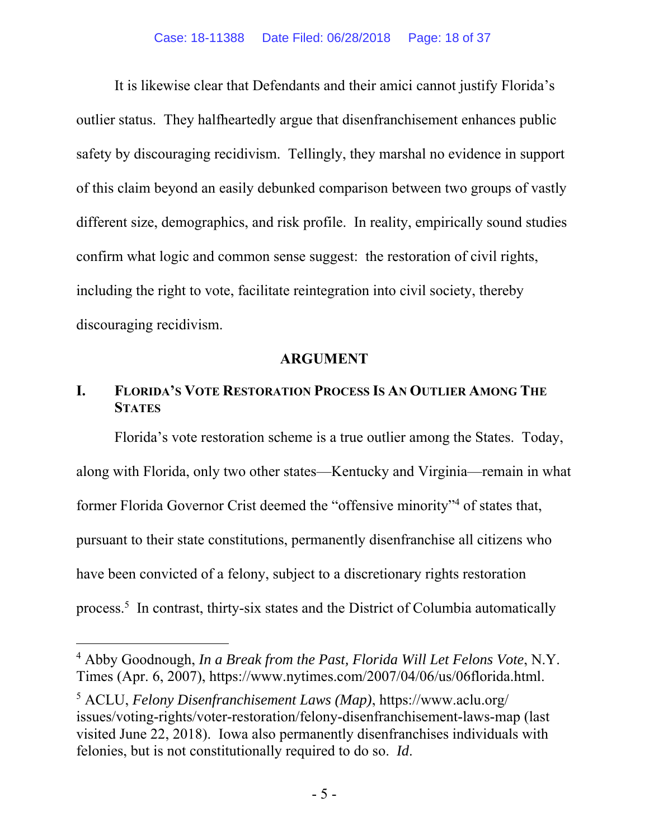It is likewise clear that Defendants and their amici cannot justify Florida's outlier status. They halfheartedly argue that disenfranchisement enhances public safety by discouraging recidivism. Tellingly, they marshal no evidence in support of this claim beyond an easily debunked comparison between two groups of vastly different size, demographics, and risk profile. In reality, empirically sound studies confirm what logic and common sense suggest: the restoration of civil rights, including the right to vote, facilitate reintegration into civil society, thereby discouraging recidivism.

#### **ARGUMENT**

### **I. FLORIDA'S VOTE RESTORATION PROCESS IS AN OUTLIER AMONG THE STATES**

Florida's vote restoration scheme is a true outlier among the States. Today, along with Florida, only two other states—Kentucky and Virginia—remain in what former Florida Governor Crist deemed the "offensive minority"<sup>4</sup> of states that, pursuant to their state constitutions, permanently disenfranchise all citizens who have been convicted of a felony, subject to a discretionary rights restoration process.<sup>5</sup> In contrast, thirty-six states and the District of Columbia automatically

-

<sup>4</sup> Abby Goodnough, *In a Break from the Past, Florida Will Let Felons Vote*, N.Y. Times (Apr. 6, 2007), https://www.nytimes.com/2007/04/06/us/06florida.html.

<sup>5</sup> ACLU, *Felony Disenfranchisement Laws (Map)*, https://www.aclu.org/ issues/voting-rights/voter-restoration/felony-disenfranchisement-laws-map (last visited June 22, 2018). Iowa also permanently disenfranchises individuals with felonies, but is not constitutionally required to do so. *Id*.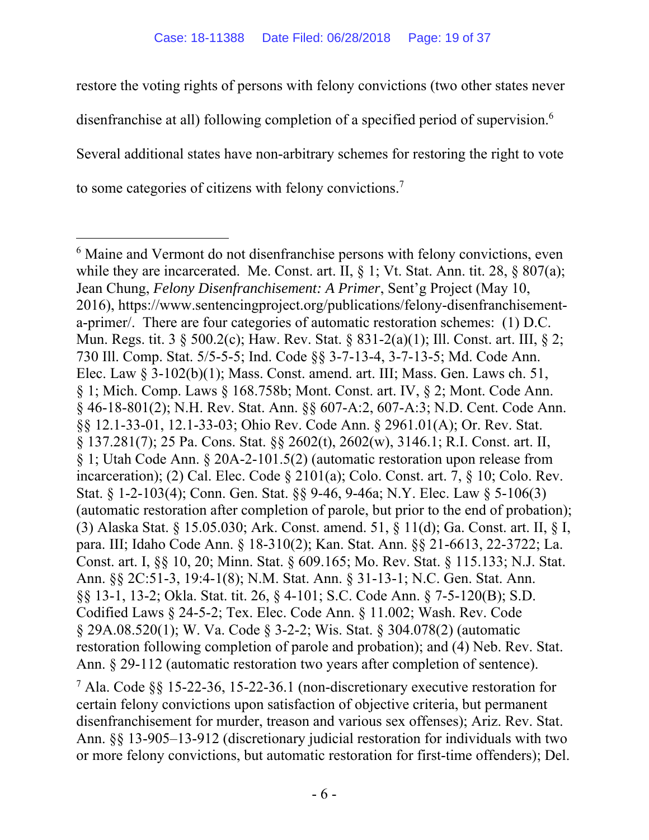restore the voting rights of persons with felony convictions (two other states never disenfranchise at all) following completion of a specified period of supervision.<sup>6</sup> Several additional states have non-arbitrary schemes for restoring the right to vote to some categories of citizens with felony convictions.7

 $\overline{a}$ 

7 Ala. Code §§ 15-22-36, 15-22-36.1 (non-discretionary executive restoration for certain felony convictions upon satisfaction of objective criteria, but permanent disenfranchisement for murder, treason and various sex offenses); Ariz. Rev. Stat. Ann. §§ 13-905–13-912 (discretionary judicial restoration for individuals with two or more felony convictions, but automatic restoration for first-time offenders); Del.

<sup>&</sup>lt;sup>6</sup> Maine and Vermont do not disenfranchise persons with felony convictions, even while they are incarcerated. Me. Const. art. II, § 1; Vt. Stat. Ann. tit. 28, § 807(a); Jean Chung, *Felony Disenfranchisement: A Primer*, Sent'g Project (May 10, 2016), https://www.sentencingproject.org/publications/felony-disenfranchisementa-primer/. There are four categories of automatic restoration schemes: (1) D.C. Mun. Regs. tit. 3 § 500.2(c); Haw. Rev. Stat. § 831-2(a)(1); Ill. Const. art. III, § 2; 730 Ill. Comp. Stat. 5/5-5-5; Ind. Code §§ 3-7-13-4, 3-7-13-5; Md. Code Ann. Elec. Law § 3-102(b)(1); Mass. Const. amend. art. III; Mass. Gen. Laws ch. 51, § 1; Mich. Comp. Laws § 168.758b; Mont. Const. art. IV, § 2; Mont. Code Ann. § 46-18-801(2); N.H. Rev. Stat. Ann. §§ 607-A:2, 607-A:3; N.D. Cent. Code Ann. §§ 12.1-33-01, 12.1-33-03; Ohio Rev. Code Ann. § 2961.01(A); Or. Rev. Stat. § 137.281(7); 25 Pa. Cons. Stat. §§ 2602(t), 2602(w), 3146.1; R.I. Const. art. II, § 1; Utah Code Ann. § 20A-2-101.5(2) (automatic restoration upon release from incarceration); (2) Cal. Elec. Code § 2101(a); Colo. Const. art. 7, § 10; Colo. Rev. Stat. § 1-2-103(4); Conn. Gen. Stat. §§ 9-46, 9-46a; N.Y. Elec. Law § 5-106(3) (automatic restoration after completion of parole, but prior to the end of probation); (3) Alaska Stat. § 15.05.030; Ark. Const. amend. 51, § 11(d); Ga. Const. art. II, § I, para. III; Idaho Code Ann. § 18-310(2); Kan. Stat. Ann. §§ 21-6613, 22-3722; La. Const. art. I, §§ 10, 20; Minn. Stat. § 609.165; Mo. Rev. Stat. § 115.133; N.J. Stat. Ann. §§ 2C:51-3, 19:4-1(8); N.M. Stat. Ann. § 31-13-1; N.C. Gen. Stat. Ann. §§ 13-1, 13-2; Okla. Stat. tit. 26, § 4-101; S.C. Code Ann. § 7-5-120(B); S.D. Codified Laws § 24-5-2; Tex. Elec. Code Ann. § 11.002; Wash. Rev. Code § 29A.08.520(1); W. Va. Code § 3-2-2; Wis. Stat. § 304.078(2) (automatic restoration following completion of parole and probation); and (4) Neb. Rev. Stat. Ann. § 29-112 (automatic restoration two years after completion of sentence).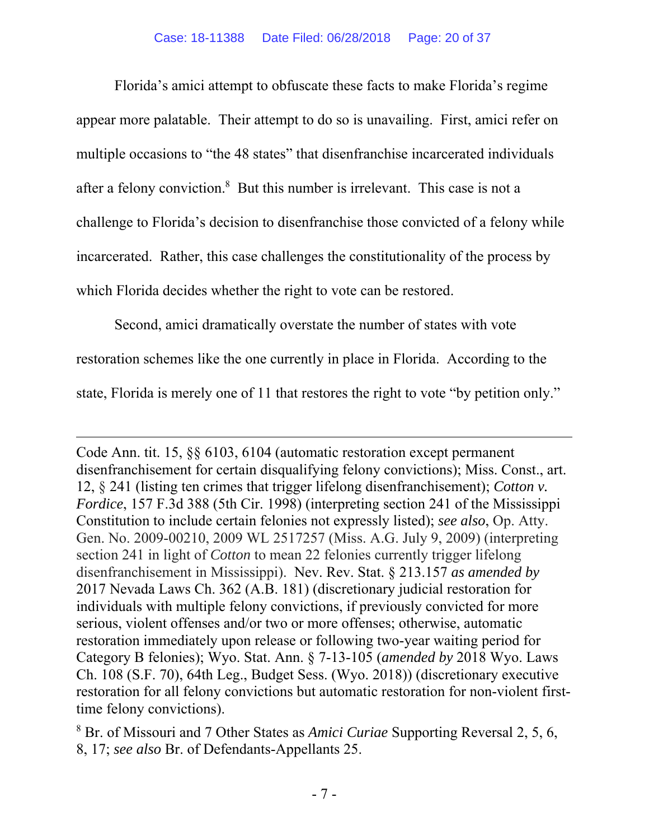Florida's amici attempt to obfuscate these facts to make Florida's regime appear more palatable. Their attempt to do so is unavailing. First, amici refer on multiple occasions to "the 48 states" that disenfranchise incarcerated individuals after a felony conviction.<sup>8</sup> But this number is irrelevant. This case is not a challenge to Florida's decision to disenfranchise those convicted of a felony while incarcerated. Rather, this case challenges the constitutionality of the process by which Florida decides whether the right to vote can be restored.

Second, amici dramatically overstate the number of states with vote restoration schemes like the one currently in place in Florida. According to the state, Florida is merely one of 11 that restores the right to vote "by petition only."

-

Code Ann. tit. 15, §§ 6103, 6104 (automatic restoration except permanent disenfranchisement for certain disqualifying felony convictions); Miss. Const., art. 12, § 241 (listing ten crimes that trigger lifelong disenfranchisement); *Cotton v. Fordice*, 157 F.3d 388 (5th Cir. 1998) (interpreting section 241 of the Mississippi Constitution to include certain felonies not expressly listed); *see also*, Op. Atty. Gen. No. 2009-00210, 2009 WL 2517257 (Miss. A.G. July 9, 2009) (interpreting section 241 in light of *Cotton* to mean 22 felonies currently trigger lifelong disenfranchisement in Mississippi). Nev. Rev. Stat. § 213.157 *as amended by*  2017 Nevada Laws Ch. 362 (A.B. 181) (discretionary judicial restoration for individuals with multiple felony convictions, if previously convicted for more serious, violent offenses and/or two or more offenses; otherwise, automatic restoration immediately upon release or following two-year waiting period for Category B felonies); Wyo. Stat. Ann. § 7-13-105 (*amended by* 2018 Wyo. Laws Ch. 108 (S.F. 70), 64th Leg., Budget Sess. (Wyo. 2018)) (discretionary executive restoration for all felony convictions but automatic restoration for non-violent firsttime felony convictions).

8 Br. of Missouri and 7 Other States as *Amici Curiae* Supporting Reversal 2, 5, 6, 8, 17; *see also* Br. of Defendants-Appellants 25.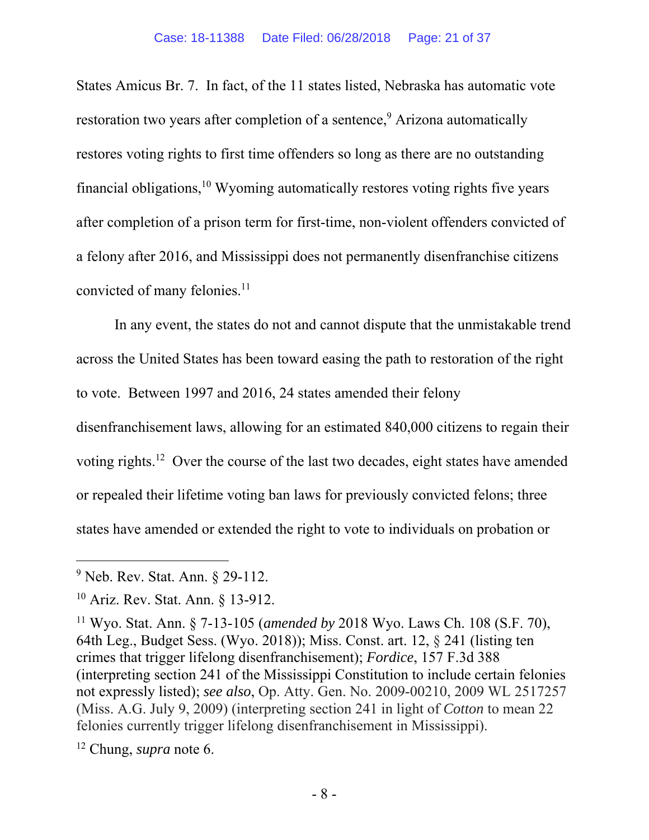States Amicus Br. 7. In fact, of the 11 states listed, Nebraska has automatic vote restoration two years after completion of a sentence,<sup>9</sup> Arizona automatically restores voting rights to first time offenders so long as there are no outstanding financial obligations,  $10$  Wyoming automatically restores voting rights five years after completion of a prison term for first-time, non-violent offenders convicted of a felony after 2016, and Mississippi does not permanently disenfranchise citizens convicted of many felonies.<sup>11</sup>

In any event, the states do not and cannot dispute that the unmistakable trend across the United States has been toward easing the path to restoration of the right to vote. Between 1997 and 2016, 24 states amended their felony disenfranchisement laws, allowing for an estimated 840,000 citizens to regain their voting rights.12 Over the course of the last two decades, eight states have amended

or repealed their lifetime voting ban laws for previously convicted felons; three states have amended or extended the right to vote to individuals on probation or

 $\overline{a}$ 

12 Chung, *supra* note 6.

 $9^9$  Neb. Rev. Stat. Ann. § 29-112.

<sup>10</sup> Ariz. Rev. Stat. Ann. § 13-912.

<sup>11</sup> Wyo. Stat. Ann. § 7-13-105 (*amended by* 2018 Wyo. Laws Ch. 108 (S.F. 70), 64th Leg., Budget Sess. (Wyo. 2018)); Miss. Const. art. 12, § 241 (listing ten crimes that trigger lifelong disenfranchisement); *Fordice*, 157 F.3d 388 (interpreting section 241 of the Mississippi Constitution to include certain felonies not expressly listed); *see also*, Op. Atty. Gen. No. 2009-00210, 2009 WL 2517257 (Miss. A.G. July 9, 2009) (interpreting section 241 in light of *Cotton* to mean 22 felonies currently trigger lifelong disenfranchisement in Mississippi).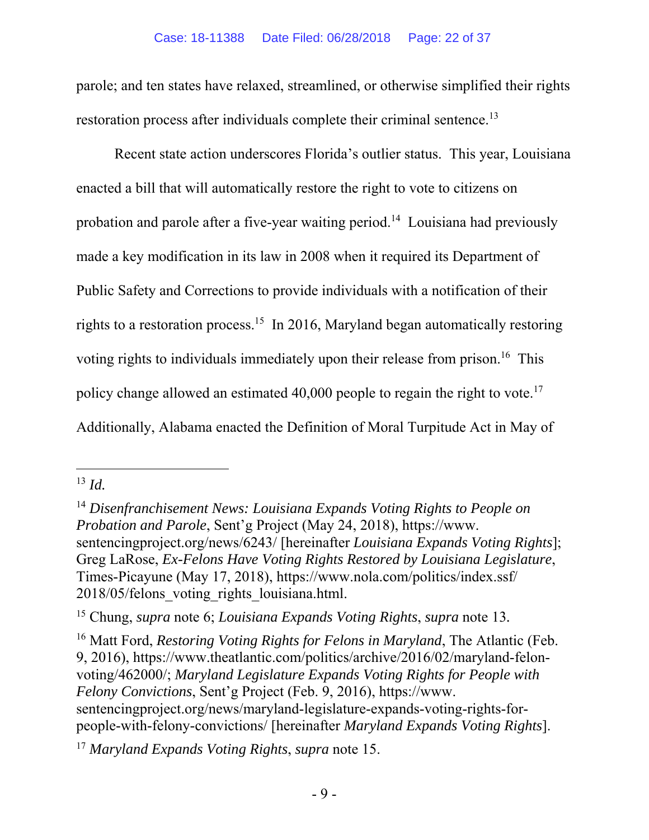parole; and ten states have relaxed, streamlined, or otherwise simplified their rights restoration process after individuals complete their criminal sentence.<sup>13</sup>

Recent state action underscores Florida's outlier status. This year, Louisiana enacted a bill that will automatically restore the right to vote to citizens on probation and parole after a five-year waiting period.14 Louisiana had previously made a key modification in its law in 2008 when it required its Department of Public Safety and Corrections to provide individuals with a notification of their rights to a restoration process.15 In 2016, Maryland began automatically restoring voting rights to individuals immediately upon their release from prison.<sup>16</sup> This policy change allowed an estimated  $40,000$  people to regain the right to vote.<sup>17</sup> Additionally, Alabama enacted the Definition of Moral Turpitude Act in May of

l

16 Matt Ford, *Restoring Voting Rights for Felons in Maryland*, The Atlantic (Feb. 9, 2016), https://www.theatlantic.com/politics/archive/2016/02/maryland-felonvoting/462000/; *Maryland Legislature Expands Voting Rights for People with Felony Convictions*, Sent'g Project (Feb. 9, 2016), https://www. sentencingproject.org/news/maryland-legislature-expands-voting-rights-forpeople-with-felony-convictions/ [hereinafter *Maryland Expands Voting Rights*].

<sup>17</sup> *Maryland Expands Voting Rights*, *supra* note 15.

<sup>13</sup> *Id.*

<sup>14</sup> *Disenfranchisement News: Louisiana Expands Voting Rights to People on Probation and Parole*, Sent'g Project (May 24, 2018), https://www. sentencingproject.org/news/6243/ [hereinafter *Louisiana Expands Voting Rights*]; Greg LaRose, *Ex-Felons Have Voting Rights Restored by Louisiana Legislature*, Times-Picayune (May 17, 2018), https://www.nola.com/politics/index.ssf/ 2018/05/felons\_voting\_rights\_louisiana.html.

<sup>15</sup> Chung, *supra* note 6; *Louisiana Expands Voting Rights*, *supra* note 13*.*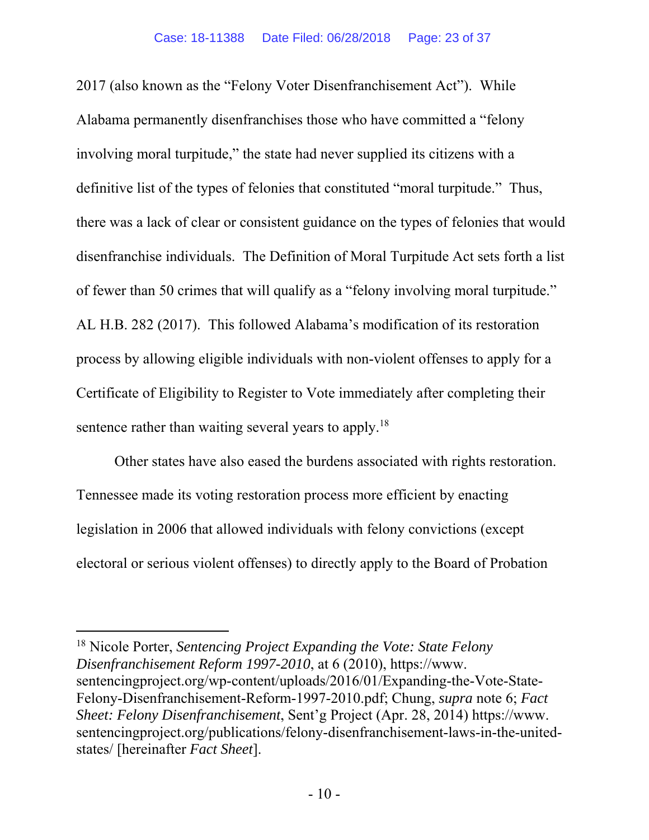2017 (also known as the "Felony Voter Disenfranchisement Act"). While Alabama permanently disenfranchises those who have committed a "felony involving moral turpitude," the state had never supplied its citizens with a definitive list of the types of felonies that constituted "moral turpitude." Thus, there was a lack of clear or consistent guidance on the types of felonies that would disenfranchise individuals. The Definition of Moral Turpitude Act sets forth a list of fewer than 50 crimes that will qualify as a "felony involving moral turpitude." AL H.B. 282 (2017). This followed Alabama's modification of its restoration process by allowing eligible individuals with non-violent offenses to apply for a Certificate of Eligibility to Register to Vote immediately after completing their sentence rather than waiting several years to apply.<sup>18</sup>

Other states have also eased the burdens associated with rights restoration. Tennessee made its voting restoration process more efficient by enacting legislation in 2006 that allowed individuals with felony convictions (except electoral or serious violent offenses) to directly apply to the Board of Probation

 $\overline{a}$ 

<sup>18</sup> Nicole Porter, *Sentencing Project Expanding the Vote: State Felony Disenfranchisement Reform 1997-2010*, at 6 (2010), https://www. sentencingproject.org/wp-content/uploads/2016/01/Expanding-the-Vote-State-Felony-Disenfranchisement-Reform-1997-2010.pdf; Chung, *supra* note 6; *Fact Sheet: Felony Disenfranchisement*, Sent'g Project (Apr. 28, 2014) https://www. sentencingproject.org/publications/felony-disenfranchisement-laws-in-the-unitedstates/ [hereinafter *Fact Sheet*].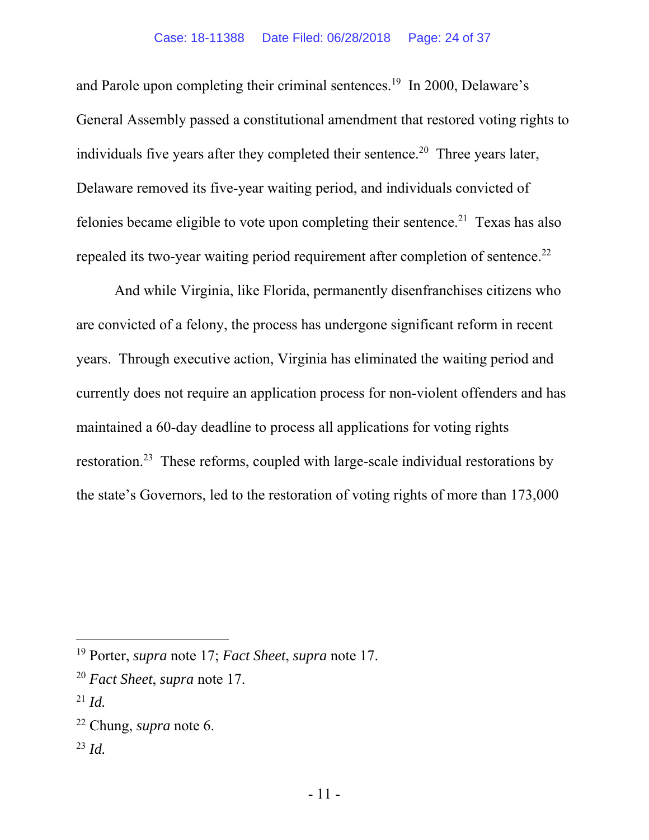and Parole upon completing their criminal sentences.<sup>19</sup> In 2000, Delaware's General Assembly passed a constitutional amendment that restored voting rights to individuals five years after they completed their sentence.<sup>20</sup> Three years later, Delaware removed its five-year waiting period, and individuals convicted of felonies became eligible to vote upon completing their sentence.<sup>21</sup> Texas has also repealed its two-year waiting period requirement after completion of sentence.<sup>22</sup>

And while Virginia, like Florida, permanently disenfranchises citizens who are convicted of a felony, the process has undergone significant reform in recent years. Through executive action, Virginia has eliminated the waiting period and currently does not require an application process for non-violent offenders and has maintained a 60-day deadline to process all applications for voting rights restoration.23 These reforms, coupled with large-scale individual restorations by the state's Governors, led to the restoration of voting rights of more than 173,000

-

<sup>23</sup> *Id.*

<sup>19</sup> Porter, *supra* note 17; *Fact Sheet*, *supra* note 17.

<sup>20</sup> *Fact Sheet*, *supra* note 17.

<sup>21</sup> *Id.*

<sup>22</sup> Chung, *supra* note 6.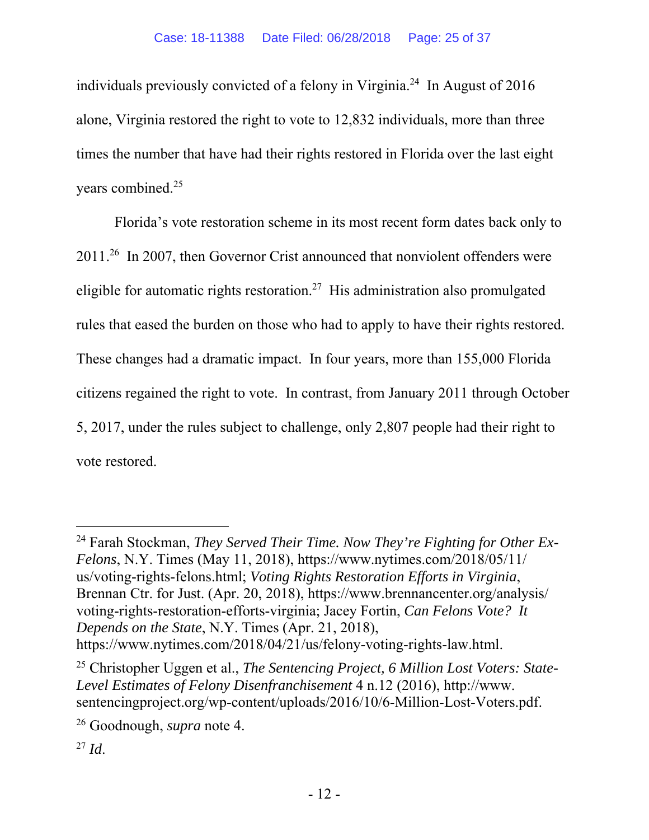individuals previously convicted of a felony in Virginia.24 In August of 2016 alone, Virginia restored the right to vote to 12,832 individuals, more than three times the number that have had their rights restored in Florida over the last eight years combined.25

Florida's vote restoration scheme in its most recent form dates back only to 2011.26 In 2007, then Governor Crist announced that nonviolent offenders were eligible for automatic rights restoration.<sup>27</sup> His administration also promulgated rules that eased the burden on those who had to apply to have their rights restored. These changes had a dramatic impact. In four years, more than 155,000 Florida citizens regained the right to vote. In contrast, from January 2011 through October 5, 2017, under the rules subject to challenge, only 2,807 people had their right to vote restored.

l

<sup>24</sup> Farah Stockman, *They Served Their Time. Now They're Fighting for Other Ex-Felons*, N.Y. Times (May 11, 2018), https://www.nytimes.com/2018/05/11/ us/voting-rights-felons.html; *Voting Rights Restoration Efforts in Virginia*, Brennan Ctr. for Just. (Apr. 20, 2018), https://www.brennancenter.org/analysis/ voting-rights-restoration-efforts-virginia; Jacey Fortin, *Can Felons Vote? It Depends on the State*, N.Y. Times (Apr. 21, 2018), https://www.nytimes.com/2018/04/21/us/felony-voting-rights-law.html.

<sup>25</sup> Christopher Uggen et al., *The Sentencing Project, 6 Million Lost Voters: State-Level Estimates of Felony Disenfranchisement* 4 n.12 (2016), http://www. sentencingproject.org/wp-content/uploads/2016/10/6-Million-Lost-Voters.pdf.

<sup>26</sup> Goodnough, *supra* note 4.

 $^{27}$  *Id.*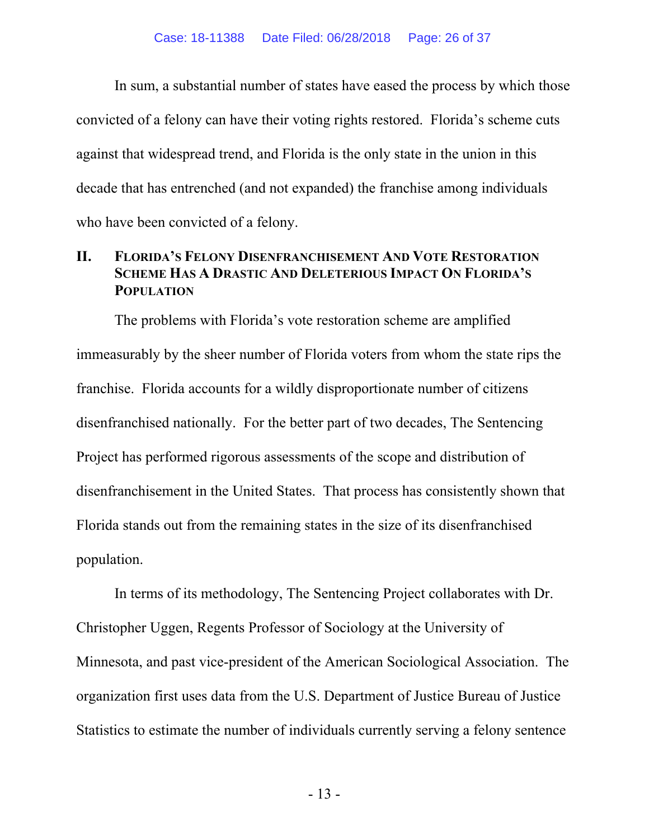In sum, a substantial number of states have eased the process by which those convicted of a felony can have their voting rights restored. Florida's scheme cuts against that widespread trend, and Florida is the only state in the union in this decade that has entrenched (and not expanded) the franchise among individuals who have been convicted of a felony.

### **II. FLORIDA'S FELONY DISENFRANCHISEMENT AND VOTE RESTORATION SCHEME HAS A DRASTIC AND DELETERIOUS IMPACT ON FLORIDA'S POPULATION**

The problems with Florida's vote restoration scheme are amplified immeasurably by the sheer number of Florida voters from whom the state rips the franchise. Florida accounts for a wildly disproportionate number of citizens disenfranchised nationally. For the better part of two decades, The Sentencing Project has performed rigorous assessments of the scope and distribution of disenfranchisement in the United States. That process has consistently shown that Florida stands out from the remaining states in the size of its disenfranchised population.

In terms of its methodology, The Sentencing Project collaborates with Dr. Christopher Uggen, Regents Professor of Sociology at the University of Minnesota, and past vice-president of the American Sociological Association. The organization first uses data from the U.S. Department of Justice Bureau of Justice Statistics to estimate the number of individuals currently serving a felony sentence

- 13 -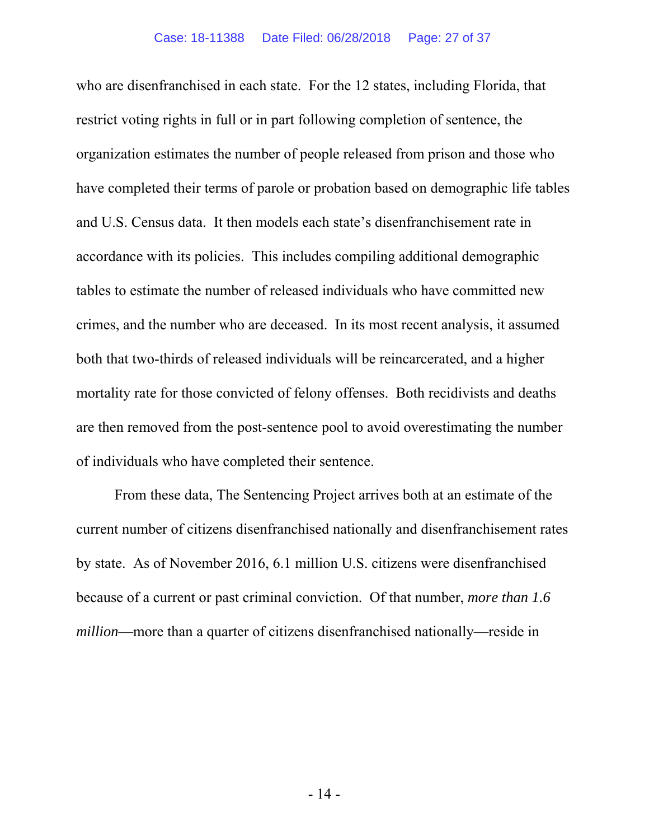who are disenfranchised in each state. For the 12 states, including Florida, that restrict voting rights in full or in part following completion of sentence, the organization estimates the number of people released from prison and those who have completed their terms of parole or probation based on demographic life tables and U.S. Census data. It then models each state's disenfranchisement rate in accordance with its policies. This includes compiling additional demographic tables to estimate the number of released individuals who have committed new crimes, and the number who are deceased. In its most recent analysis, it assumed both that two-thirds of released individuals will be reincarcerated, and a higher mortality rate for those convicted of felony offenses. Both recidivists and deaths are then removed from the post-sentence pool to avoid overestimating the number of individuals who have completed their sentence.

From these data, The Sentencing Project arrives both at an estimate of the current number of citizens disenfranchised nationally and disenfranchisement rates by state. As of November 2016, 6.1 million U.S. citizens were disenfranchised because of a current or past criminal conviction. Of that number, *more than 1.6 million*—more than a quarter of citizens disenfranchised nationally—reside in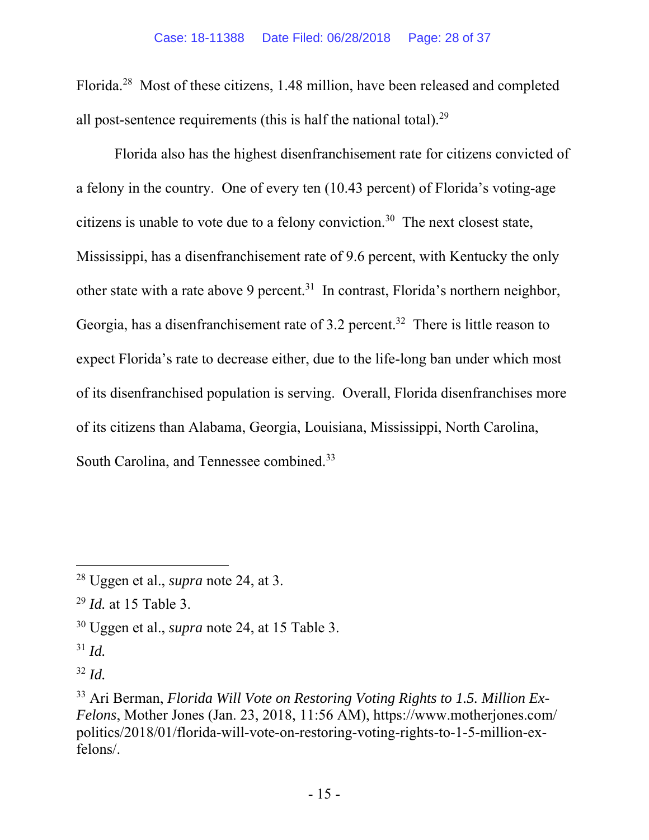Florida.28 Most of these citizens, 1.48 million, have been released and completed all post-sentence requirements (this is half the national total).29

Florida also has the highest disenfranchisement rate for citizens convicted of a felony in the country. One of every ten (10.43 percent) of Florida's voting-age citizens is unable to vote due to a felony conviction.30 The next closest state, Mississippi, has a disenfranchisement rate of 9.6 percent, with Kentucky the only other state with a rate above 9 percent.<sup>31</sup> In contrast, Florida's northern neighbor, Georgia, has a disenfranchisement rate of 3.2 percent.<sup>32</sup> There is little reason to expect Florida's rate to decrease either, due to the life-long ban under which most of its disenfranchised population is serving. Overall, Florida disenfranchises more of its citizens than Alabama, Georgia, Louisiana, Mississippi, North Carolina, South Carolina, and Tennessee combined.<sup>33</sup>

-

<sup>32</sup> *Id.*

<sup>28</sup> Uggen et al., *supra* note 24, at 3.

<sup>29</sup> *Id.* at 15 Table 3.

<sup>30</sup> Uggen et al., *supra* note 24, at 15 Table 3.

<sup>31</sup> *Id.*

<sup>33</sup> Ari Berman, *Florida Will Vote on Restoring Voting Rights to 1.5. Million Ex-Felons*, Mother Jones (Jan. 23, 2018, 11:56 AM), https://www.motherjones.com/ politics/2018/01/florida-will-vote-on-restoring-voting-rights-to-1-5-million-exfelons/.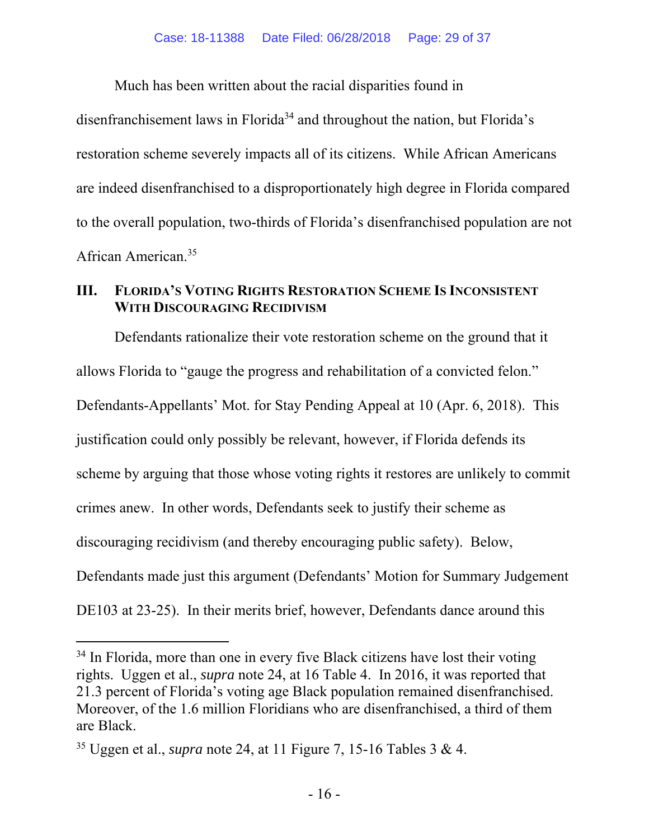Much has been written about the racial disparities found in

disenfranchisement laws in Florida<sup>34</sup> and throughout the nation, but Florida's restoration scheme severely impacts all of its citizens. While African Americans are indeed disenfranchised to a disproportionately high degree in Florida compared to the overall population, two-thirds of Florida's disenfranchised population are not African American.35

#### **III. FLORIDA'S VOTING RIGHTS RESTORATION SCHEME IS INCONSISTENT WITH DISCOURAGING RECIDIVISM**

Defendants rationalize their vote restoration scheme on the ground that it allows Florida to "gauge the progress and rehabilitation of a convicted felon." Defendants-Appellants' Mot. for Stay Pending Appeal at 10 (Apr. 6, 2018). This justification could only possibly be relevant, however, if Florida defends its scheme by arguing that those whose voting rights it restores are unlikely to commit crimes anew. In other words, Defendants seek to justify their scheme as discouraging recidivism (and thereby encouraging public safety). Below, Defendants made just this argument (Defendants' Motion for Summary Judgement DE103 at 23-25). In their merits brief, however, Defendants dance around this

 $\overline{a}$ 

<sup>&</sup>lt;sup>34</sup> In Florida, more than one in every five Black citizens have lost their voting rights. Uggen et al., *supra* note 24, at 16 Table 4. In 2016, it was reported that 21.3 percent of Florida's voting age Black population remained disenfranchised. Moreover, of the 1.6 million Floridians who are disenfranchised, a third of them are Black.

<sup>35</sup> Uggen et al., *supra* note 24, at 11 Figure 7, 15-16 Tables 3 & 4.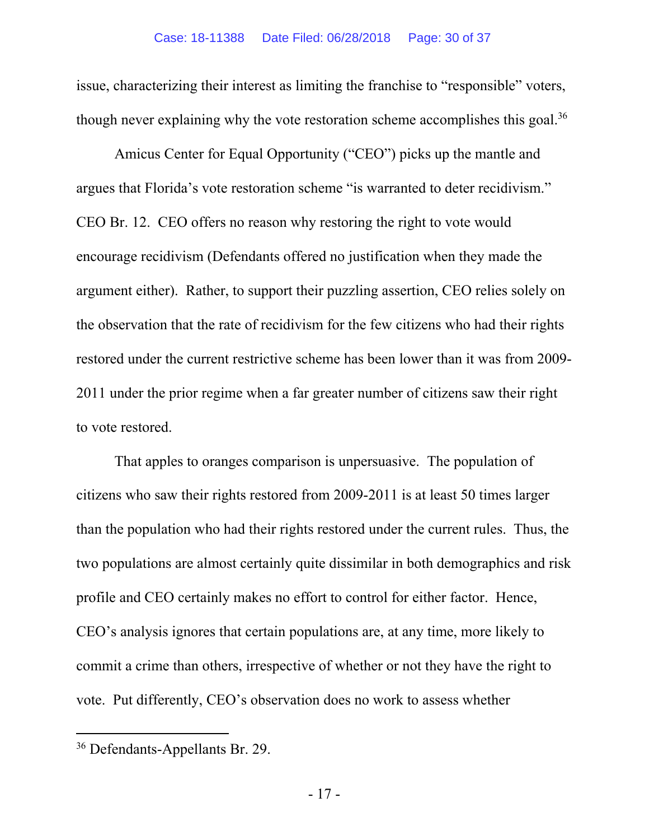issue, characterizing their interest as limiting the franchise to "responsible" voters, though never explaining why the vote restoration scheme accomplishes this goal.<sup>36</sup>

Amicus Center for Equal Opportunity ("CEO") picks up the mantle and argues that Florida's vote restoration scheme "is warranted to deter recidivism." CEO Br. 12. CEO offers no reason why restoring the right to vote would encourage recidivism (Defendants offered no justification when they made the argument either). Rather, to support their puzzling assertion, CEO relies solely on the observation that the rate of recidivism for the few citizens who had their rights restored under the current restrictive scheme has been lower than it was from 2009- 2011 under the prior regime when a far greater number of citizens saw their right to vote restored.

That apples to oranges comparison is unpersuasive. The population of citizens who saw their rights restored from 2009-2011 is at least 50 times larger than the population who had their rights restored under the current rules. Thus, the two populations are almost certainly quite dissimilar in both demographics and risk profile and CEO certainly makes no effort to control for either factor. Hence, CEO's analysis ignores that certain populations are, at any time, more likely to commit a crime than others, irrespective of whether or not they have the right to vote. Put differently, CEO's observation does no work to assess whether

 $\overline{a}$ 

<sup>36</sup> Defendants-Appellants Br. 29.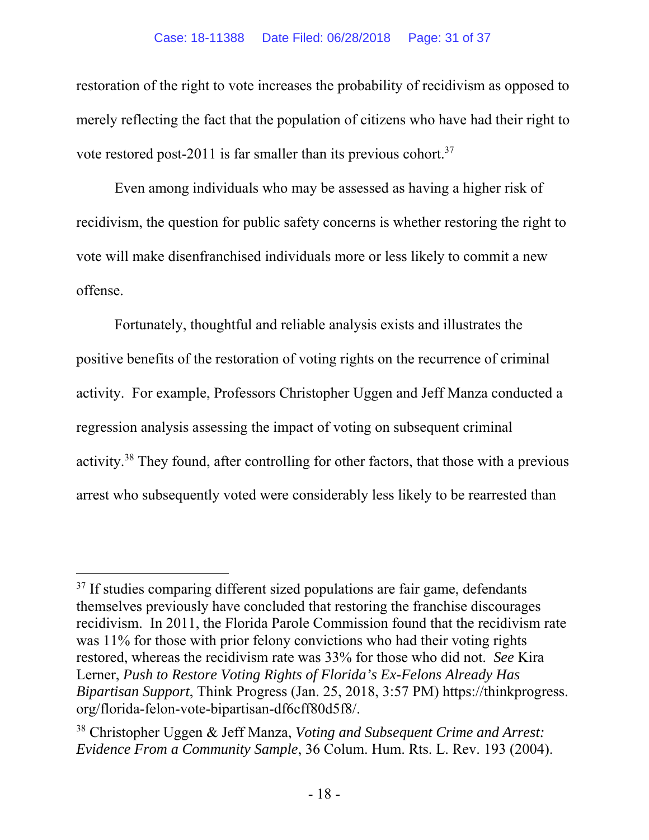restoration of the right to vote increases the probability of recidivism as opposed to merely reflecting the fact that the population of citizens who have had their right to vote restored post-2011 is far smaller than its previous cohort.<sup>37</sup>

Even among individuals who may be assessed as having a higher risk of recidivism, the question for public safety concerns is whether restoring the right to vote will make disenfranchised individuals more or less likely to commit a new offense.

Fortunately, thoughtful and reliable analysis exists and illustrates the positive benefits of the restoration of voting rights on the recurrence of criminal activity. For example, Professors Christopher Uggen and Jeff Manza conducted a regression analysis assessing the impact of voting on subsequent criminal activity.38 They found, after controlling for other factors, that those with a previous arrest who subsequently voted were considerably less likely to be rearrested than

-

<sup>&</sup>lt;sup>37</sup> If studies comparing different sized populations are fair game, defendants themselves previously have concluded that restoring the franchise discourages recidivism. In 2011, the Florida Parole Commission found that the recidivism rate was 11% for those with prior felony convictions who had their voting rights restored, whereas the recidivism rate was 33% for those who did not. *See* Kira Lerner, *Push to Restore Voting Rights of Florida's Ex-Felons Already Has Bipartisan Support*, Think Progress (Jan. 25, 2018, 3:57 PM) https://thinkprogress. org/florida-felon-vote-bipartisan-df6cff80d5f8/.

<sup>38</sup> Christopher Uggen & Jeff Manza, *Voting and Subsequent Crime and Arrest: Evidence From a Community Sample*, 36 Colum. Hum. Rts. L. Rev. 193 (2004).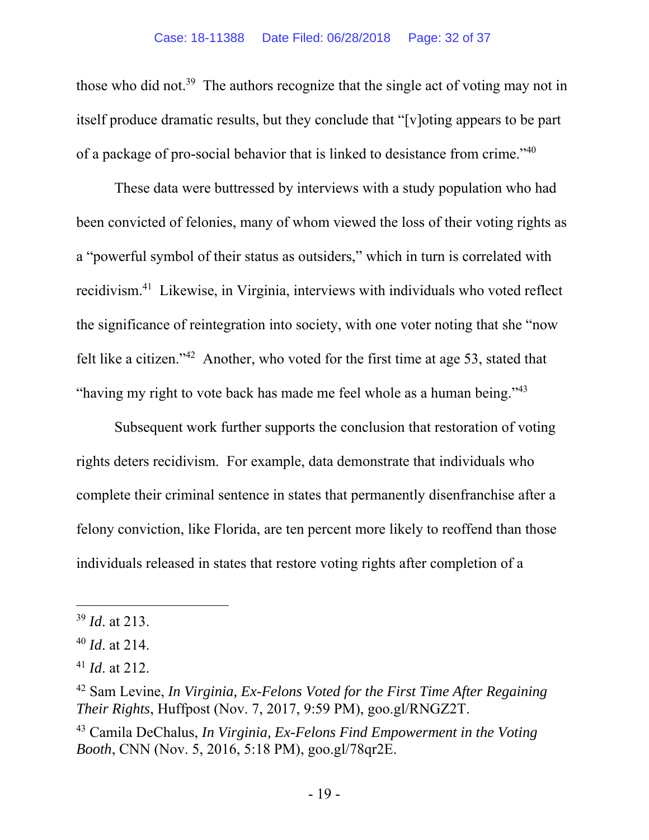those who did not.<sup>39</sup> The authors recognize that the single act of voting may not in itself produce dramatic results, but they conclude that "[v]oting appears to be part of a package of pro-social behavior that is linked to desistance from crime."40

These data were buttressed by interviews with a study population who had been convicted of felonies, many of whom viewed the loss of their voting rights as a "powerful symbol of their status as outsiders," which in turn is correlated with recidivism.41 Likewise, in Virginia, interviews with individuals who voted reflect the significance of reintegration into society, with one voter noting that she "now felt like a citizen."42 Another, who voted for the first time at age 53, stated that "having my right to vote back has made me feel whole as a human being."43

Subsequent work further supports the conclusion that restoration of voting rights deters recidivism. For example, data demonstrate that individuals who complete their criminal sentence in states that permanently disenfranchise after a felony conviction, like Florida, are ten percent more likely to reoffend than those individuals released in states that restore voting rights after completion of a

 $\overline{a}$ 

<sup>39</sup> *Id*. at 213.

<sup>40</sup> *Id*. at 214.

<sup>41</sup> *Id*. at 212.

<sup>42</sup> Sam Levine, *In Virginia, Ex-Felons Voted for the First Time After Regaining Their Rights*, Huffpost (Nov. 7, 2017, 9:59 PM), goo.gl/RNGZ2T.

<sup>43</sup> Camila DeChalus, *In Virginia, Ex-Felons Find Empowerment in the Voting Booth*, CNN (Nov. 5, 2016, 5:18 PM), goo.gl/78qr2E.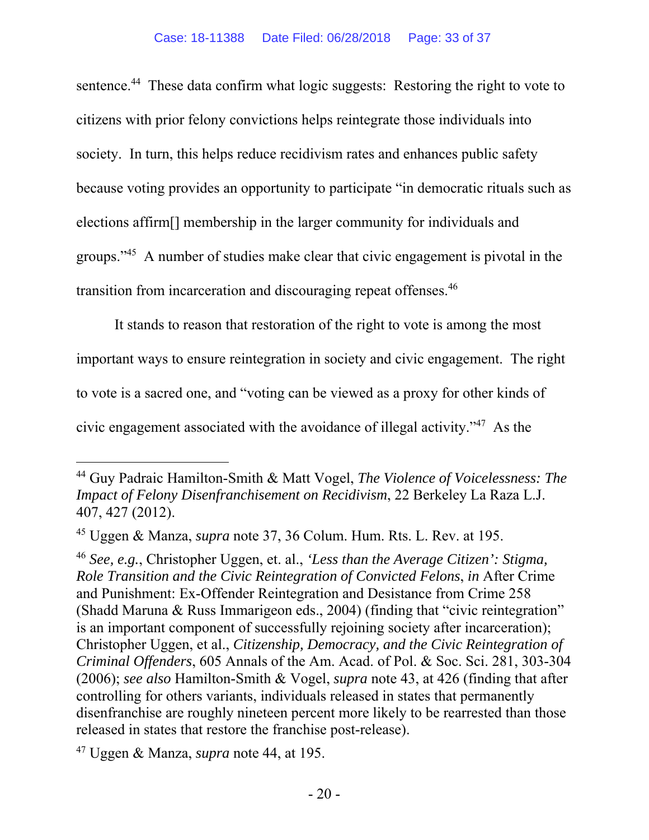sentence.<sup>44</sup> These data confirm what logic suggests: Restoring the right to vote to citizens with prior felony convictions helps reintegrate those individuals into society. In turn, this helps reduce recidivism rates and enhances public safety because voting provides an opportunity to participate "in democratic rituals such as elections affirm[] membership in the larger community for individuals and groups."45 A number of studies make clear that civic engagement is pivotal in the transition from incarceration and discouraging repeat offenses.46

It stands to reason that restoration of the right to vote is among the most important ways to ensure reintegration in society and civic engagement. The right to vote is a sacred one, and "voting can be viewed as a proxy for other kinds of civic engagement associated with the avoidance of illegal activity."47 As the

-

<sup>44</sup> Guy Padraic Hamilton-Smith & Matt Vogel, *The Violence of Voicelessness: The Impact of Felony Disenfranchisement on Recidivism*, 22 Berkeley La Raza L.J. 407, 427 (2012).

<sup>45</sup> Uggen & Manza, *supra* note 37, 36 Colum. Hum. Rts. L. Rev. at 195.

<sup>46</sup> *See, e.g.*, Christopher Uggen, et. al., *'Less than the Average Citizen': Stigma, Role Transition and the Civic Reintegration of Convicted Felons*, *in* After Crime and Punishment: Ex-Offender Reintegration and Desistance from Crime 258 (Shadd Maruna & Russ Immarigeon eds., 2004) (finding that "civic reintegration" is an important component of successfully rejoining society after incarceration); Christopher Uggen, et al., *Citizenship, Democracy, and the Civic Reintegration of Criminal Offenders*, 605 Annals of the Am. Acad. of Pol. & Soc. Sci. 281, 303-304 (2006); *see also* Hamilton-Smith & Vogel, *supra* note 43, at 426 (finding that after controlling for others variants, individuals released in states that permanently disenfranchise are roughly nineteen percent more likely to be rearrested than those released in states that restore the franchise post-release).

<sup>47</sup> Uggen & Manza, *supra* note 44, at 195.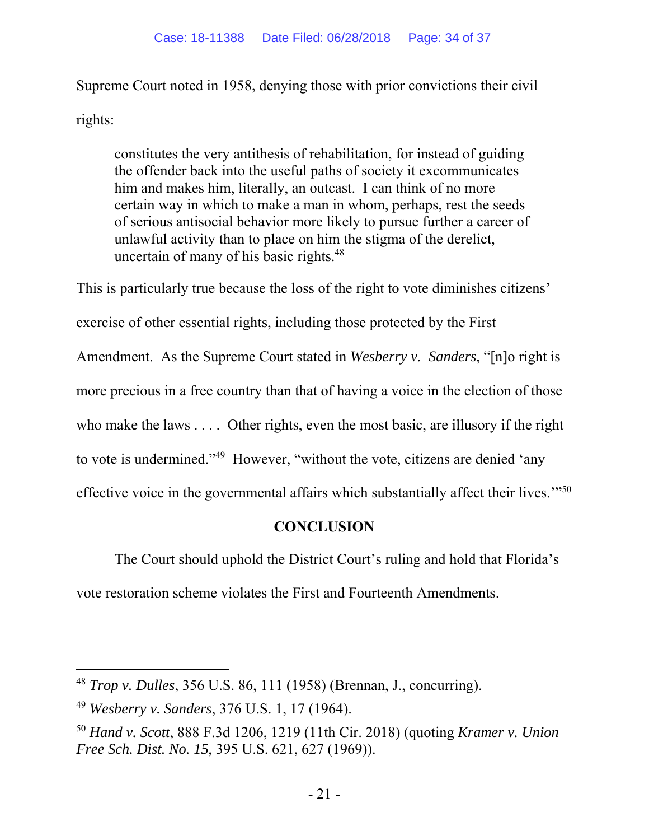Supreme Court noted in 1958, denying those with prior convictions their civil rights:

constitutes the very antithesis of rehabilitation, for instead of guiding the offender back into the useful paths of society it excommunicates him and makes him, literally, an outcast. I can think of no more certain way in which to make a man in whom, perhaps, rest the seeds of serious antisocial behavior more likely to pursue further a career of unlawful activity than to place on him the stigma of the derelict, uncertain of many of his basic rights.<sup>48</sup>

This is particularly true because the loss of the right to vote diminishes citizens' exercise of other essential rights, including those protected by the First Amendment. As the Supreme Court stated in *Wesberry v. Sanders*, "[n]o right is more precious in a free country than that of having a voice in the election of those who make the laws . . . . Other rights, even the most basic, are illusory if the right to vote is undermined."49 However, "without the vote, citizens are denied 'any effective voice in the governmental affairs which substantially affect their lives.'"50

### **CONCLUSION**

The Court should uphold the District Court's ruling and hold that Florida's vote restoration scheme violates the First and Fourteenth Amendments.

 $\overline{a}$ 

<sup>48</sup> *Trop v. Dulles*, 356 U.S. 86, 111 (1958) (Brennan, J., concurring).

<sup>49</sup> *Wesberry v. Sanders*, 376 U.S. 1, 17 (1964).

<sup>50</sup> *Hand v. Scott*, 888 F.3d 1206, 1219 (11th Cir. 2018) (quoting *Kramer v. Union Free Sch. Dist. No. 15*, 395 U.S. 621, 627 (1969)).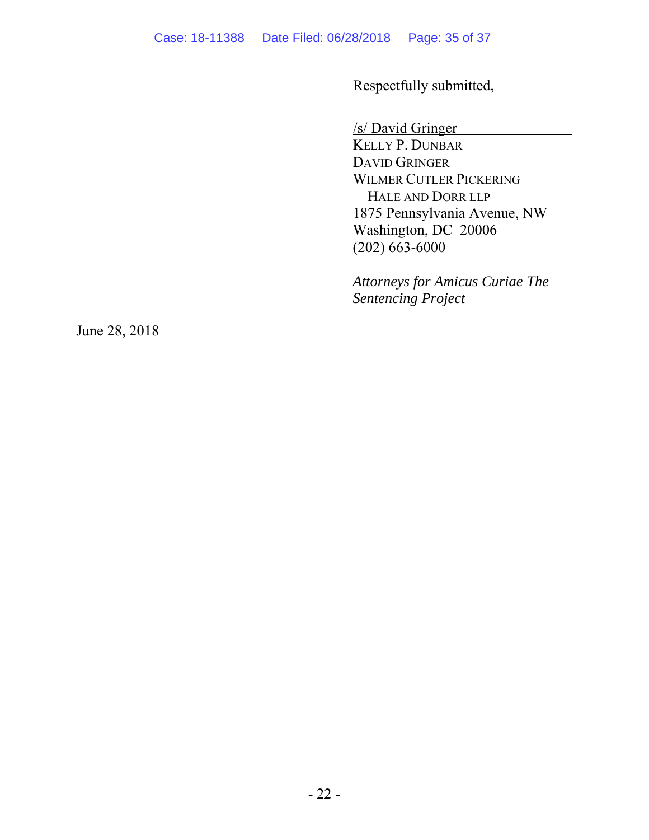Respectfully submitted,

/s/ David Gringer

 KELLY P. DUNBAR DAVID GRINGER WILMER CUTLER PICKERING HALE AND DORR LLP 1875 Pennsylvania Avenue, NW Washington, DC 20006 (202) 663-6000

*Attorneys for Amicus Curiae The Sentencing Project*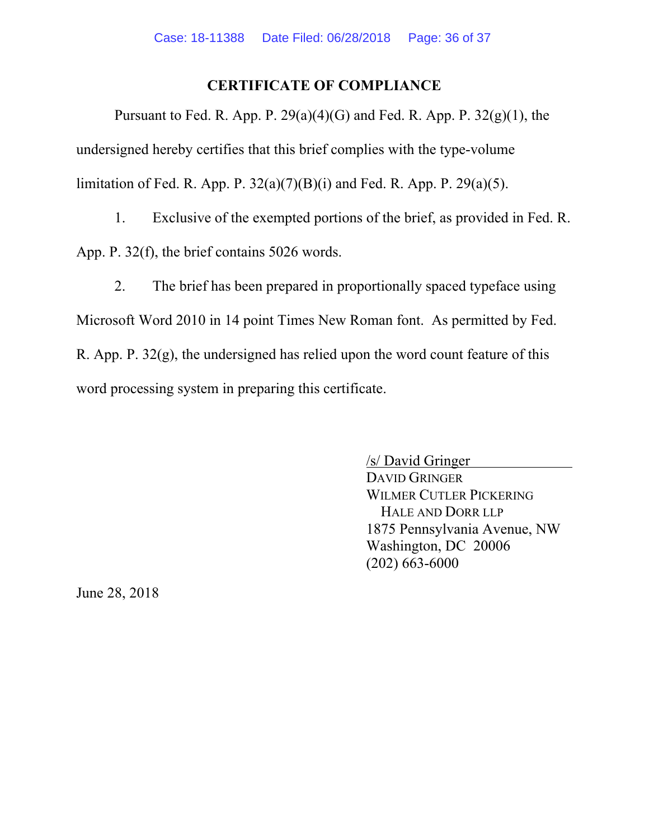#### **CERTIFICATE OF COMPLIANCE**

Pursuant to Fed. R. App. P.  $29(a)(4)(G)$  and Fed. R. App. P.  $32(g)(1)$ , the undersigned hereby certifies that this brief complies with the type-volume limitation of Fed. R. App. P.  $32(a)(7)(B)(i)$  and Fed. R. App. P.  $29(a)(5)$ .

1. Exclusive of the exempted portions of the brief, as provided in Fed. R. App. P. 32(f), the brief contains 5026 words.

2. The brief has been prepared in proportionally spaced typeface using Microsoft Word 2010 in 14 point Times New Roman font. As permitted by Fed. R. App. P. 32(g), the undersigned has relied upon the word count feature of this word processing system in preparing this certificate.

> /s/ David Gringer DAVID GRINGER WILMER CUTLER PICKERING HALE AND DORR LLP 1875 Pennsylvania Avenue, NW Washington, DC 20006 (202) 663-6000